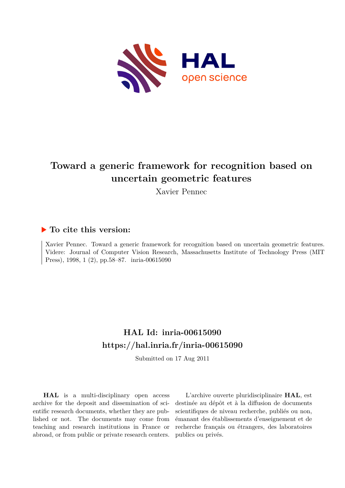

## **Toward a generic framework for recognition based on uncertain geometric features**

Xavier Pennec

#### **To cite this version:**

Xavier Pennec. Toward a generic framework for recognition based on uncertain geometric features. Videre: Journal of Computer Vision Research, Massachusetts Institute of Technology Press (MIT Press), 1998, 1 (2), pp.58–87. inria-00615090

## **HAL Id: inria-00615090 <https://hal.inria.fr/inria-00615090>**

Submitted on 17 Aug 2011

**HAL** is a multi-disciplinary open access archive for the deposit and dissemination of scientific research documents, whether they are published or not. The documents may come from teaching and research institutions in France or abroad, or from public or private research centers.

L'archive ouverte pluridisciplinaire **HAL**, est destinée au dépôt et à la diffusion de documents scientifiques de niveau recherche, publiés ou non, émanant des établissements d'enseignement et de recherche français ou étrangers, des laboratoires publics ou privés.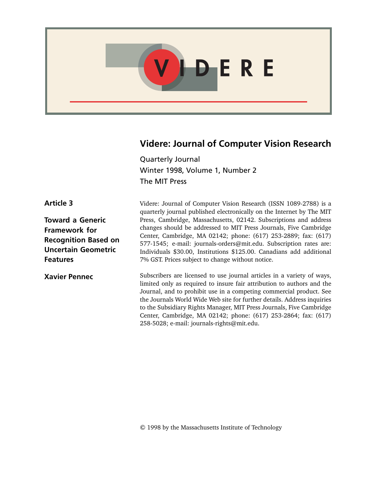

## **Videre: Journal of Computer Vision Research**

Quarterly Journal Winter 1998, Volume 1, Number 2 The MIT Press

Videre: Journal of Computer Vision Research (ISSN 1089-2788) is a quarterly journal published electronically on the Internet by The MIT Press, Cambridge, Massachusetts, 02142. Subscriptions and address changes should be addressed to MIT Press Journals, Five Cambridge Center, Cambridge, MA 02142; phone: (617) 253-2889; fax: (617) 577-1545; e-mail: journals-orders@mit.edu. Subscription rates are: Individuals \$30.00, Institutions \$125.00. Canadians add additional 7% GST. Prices subject to change without notice.

Subscribers are licensed to use journal articles in a variety of ways, limited only as required to insure fair attribution to authors and the Journal, and to prohibit use in a competing commercial product. See the Journals World Wide Web site for further details. Address inquiries to the Subsidiary Rights Manager, MIT Press Journals, Five Cambridge Center, Cambridge, MA 02142; phone: (617) 253-2864; fax: (617) 258-5028; e-mail: journals-rights@mit.edu.

**Article 3**

**Toward a Generic Framework for Recognition Based on Uncertain Geometric Features**

**Xavier Pennec**

© 1998 by the Massachusetts Institute of Technology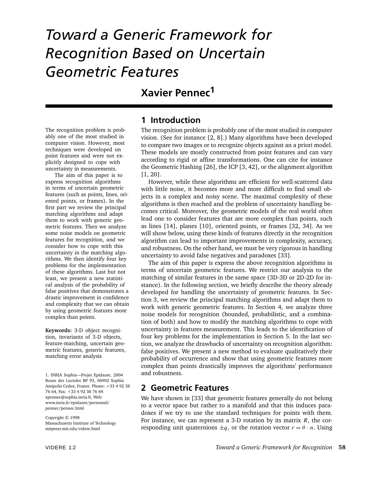# *Toward a Generic Framework for Recognition Based on Uncertain Geometric Features*

## **Xavier Pennec<sup>1</sup>**

The recognition problem is probably one of the most studied in computer vision. However, most techniques were developed on point features and were not explicitly designed to cope with uncertainty in measurements.

The aim of this paper is to express recognition algorithms in terms of uncertain geometric features (such as points, lines, oriented points, or frames). In the first part we review the principal matching algorithms and adapt them to work with generic geometric features. Then we analyze some noise models on geometric features for recognition, and we consider how to cope with this uncertainty in the matching algorithms. We then identify four key problems for the implementation of these algorithms. Last but not least, we present a new statistical analysis of the probability of false positives that demonstrates a drastic improvement in confidence and complexity that we can obtain by using geometric features more complex than points.

**Keywords:** 3-D object recognition, invariants of 3-D objects, feature-matching, uncertain geometric features, generic features, matching error analysis

1. INRIA Sophia—Projet Epidaure, 2004 Route des Lucioles BP 93, 06902 Sophia Antipolis Cedex, France. Phone: +33 4 92 38 76 64, Fax: +33 4 92 38 76 69. xpennec@sophia.inria.fr, Web: www.inria.fr/epidaure/personnel/ pennec/pennec.html

Copyright © 1998 Massachusetts Institute of Technology mitpress.mit.edu/videre.html

### **1 Introduction**

The recognition problem is probably one of the most studied in computer vision. (See for instance [2, 8].) Many algorithms have been developed to compare two images or to recognize objects against an a priori model. These models are mostly constructed from point features and can vary according to rigid or affine transformations. One can cite for instance the Geometric Hashing [26], the ICP [3, 42], or the alignment algorithm [1, 20].

However, while these algorithms are efficient for well-scattered data with little noise, it becomes more and more difficult to find small objects in a complex and noisy scene. The maximal complexity of these algorithms is then reached and the problem of uncertainty handling becomes critical. Moreover, the geometric models of the real world often lead one to consider features that are more complex than points, such as lines [14], planes [10], oriented points, or frames [32, 34]. As we will show below, using these kinds of features directly in the recognition algorithm can lead to important improvements in complexity, accuracy, and robustness. On the other hand, we must be very rigorous in handling uncertainty to avoid false negatives and paradoxes [33].

The aim of this paper is express the above recognition algorithms in terms of uncertain geometric features. We restrict our analysis to the matching of similar features in the same space (3D-3D or 2D-2D for instance). In the following section, we briefly describe the theory already developed for handling the uncertainty of geometric features. In Section 3, we review the principal matching algorithms and adapt them to work with generic geometric features. In Section 4, we analyze three noise models for recognition (bounded, probabilistic, and a combination of both) and how to modify the matching algorithms to cope with uncertainty in features measurement. This leads to the identification of four key problems for the implementation in Section 5. In the last section, we analyze the drawbacks of uncertainty on recognition algorithm: false positives. We present a new method to evaluate qualitatively their probability of occurrence and show that using geometric features more complex than points drastically improves the algorithms' performance and robustness.

#### **2 Geometric Features**

We have shown in [33] that geometric features generally do not belong to a vector space but rather to a manifold and that this induces paradoxes if we try to use the standard techniques for points with them. For instance, we can represent a 3-D rotation by its matrix *R*, the corresponding unit quaternions  $\pm q$ , or the rotation vector  $r = \theta \cdot n$ . Using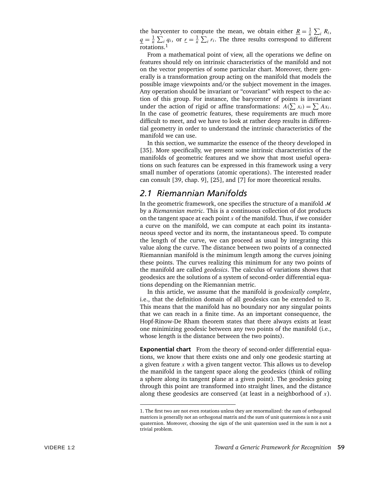the barycenter to compute the mean, we obtain either <u> $R = \frac{1}{n} \sum_i R_i$ </u>,  $q = \frac{1}{n} \sum_i q_i$ , or  $r = \frac{1}{n} \sum_i r_i$ . The three results correspond to different rotations.<sup>1</sup>

From a mathematical point of view, all the operations we define on features should rely on intrinsic characteristics of the manifold and not on the vector properties of some particular chart. Moreover, there generally is a transformation group acting on the manifold that models the possible image viewpoints and/or the subject movement in the images. Any operation should be invariant or "covariant" with respect to the action of this group. For instance, the barycenter of points is invariant under the action of rigid or affine transformations:  $A(\sum x_i) = \sum Ax_i$ . In the case of geometric features, these requirements are much more difficult to meet, and we have to look at rather deep results in differential geometry in order to understand the intrinsic characteristics of the manifold we can use.

In this section, we summarize the essence of the theory developed in [35]. More specifically, we present some intrinsic characteristics of the manifolds of geometric features and we show that most useful operations on such features can be expressed in this framework using a very small number of operations (atomic operations). The interested reader can consult [39, chap. 9], [25], and [7] for more theoretical results.

### *2.1 Riemannian Manifolds*

In the geometric framework, one specifies the structure of a manifold  $\mathcal M$ by a *Riemannian metric*. This is a continuous collection of dot products on the tangent space at each point *x* of the manifold. Thus, if we consider a curve on the manifold, we can compute at each point its instantaneous speed vector and its norm, the instantaneous speed. To compute the length of the curve, we can proceed as usual by integrating this value along the curve. The distance between two points of a connected Riemannian manifold is the minimum length among the curves joining these points. The curves realizing this minimum for any two points of the manifold are called *geodesics*. The calculus of variations shows that geodesics are the solutions of a system of second-order differential equations depending on the Riemannian metric.

In this article, we assume that the manifold is *geodesically complete*, i.e., that the definition domain of all geodesics can be extended to R. This means that the manifold has no boundary nor any singular points that we can reach in a finite time. As an important consequence, the Hopf-Rinow-De Rham theorem states that there always exists at least one minimizing geodesic between any two points of the manifold (i.e., whose length is the distance between the two points).

**Exponential chart** From the theory of second-order differential equations, we know that there exists one and only one geodesic starting at a given feature *x* with a given tangent vector. This allows us to develop the manifold in the tangent space along the geodesics (think of rolling a sphere along its tangent plane at a given point). The geodesics going through this point are transformed into straight lines, and the distance along these geodesics are conserved (at least in a neighborhood of *x*).

<sup>1.</sup> The first two are not even rotations unless they are renormalized: the sum of orthogonal matrices is generally not an orthogonal matrix and the sum of unit quaternions is not a unit quaternion. Moreover, choosing the sign of the unit quaternion used in the sum is not a trivial problem.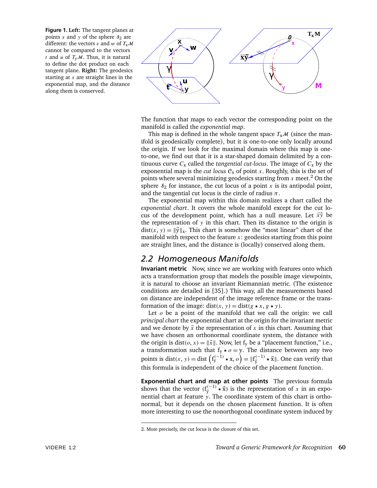**Figure 1. Left:** The tangent planes at points  $x$  and  $y$  of the sphere  $\delta_2$  are different: the vectors *v* and *w* of  $T_xM$ cannot be compared to the vectors *t* and *u* of  $T_vM$ . Thus, it is natural to define the dot product on each tangent plane. **Right:** The geodesics starting at *x* are straight lines in the exponential map, and the distance along them is conserved.



The function that maps to each vector the corresponding point on the manifold is called the *exponential map*.

This map is defined in the whole tangent space  $T_x\mathcal{M}$  (since the manifold is geodesically complete), but it is one-to-one only locally around the origin. If we look for the maximal domain where this map is oneto-one, we find out that it is a star-shaped domain delimited by a continuous curve  $C_x$  called the *tangential cut-locus*. The image of  $C_x$  by the exponential map is the *cut locus*  $C_x$  of point *x*. Roughly, this is the set of points where several minimizing geodesics starting from  $x$  meet.<sup>2</sup> On the sphere  $s_2$  for instance, the cut locus of a point  $x$  is its antipodal point, and the tangential cut locus is the circle of radius *π*.

The exponential map within this domain realizes a chart called the *exponential chart*. It covers the whole manifold except for the cut locus of the development point, which has a null measure. Let  $\vec{x}$  be the representation of *y* in this chart. Then its distance to the origin is  $dist(x, y) = ||\vec{y}||_x$ . This chart is somehow the "most linear" chart of the manifold with respect to the feature *x*: geodesics starting from this point are straight lines, and the distance is (locally) conserved along them.

## *2.2 Homogeneous Manifolds*

**Invariant metric** Now, since we are working with features onto which acts a transformation group that models the possible image viewpoints, it is natural to choose an invariant Riemannian metric. (The existence conditions are detailed in [35].) This way, all the measurements based on distance are independent of the image reference frame or the transformation of the image: dist(x, y) = dist( $g \star x$ ,  $g \star y$ ).

Let *o* be a point of the manifold that we call the origin: we call *principal chart* the exponential chart at the origin for the invariant metric and we denote by  $\vec{x}$  the representation of  $x$  in this chart. Assuming that we have chosen an orthonormal coordinate system, the distance with the origin is dist( $o, x$ ) =  $\|\vec{x}\|$ . Now, let f<sub>y</sub> be a "placement function," i.e., a transformation such that  $f_y \star o = y$ . The distance between any two points is dist(*x*, *y*) = dist  $(f_y^{(-1)} \star x, o) = ||f_{\vec{y}}^{(-1)} \star \vec{x}||$ . One can verify that this formula is independent of the choice of the placement function.

**Exponential chart and map at other points** The previous formula shows that the vector  $(f_{\vec{y}}^{(-1)} \star \vec{x})$  is the representation of *x* in an exponential chart at feature *y*. The coordinate system of this chart is orthonormal, but it depends on the chosen placement function. It is often more interesting to use the nonorthogonal coordinate system induced by

<sup>2.</sup> More precisely, the cut locus is the closure of this set.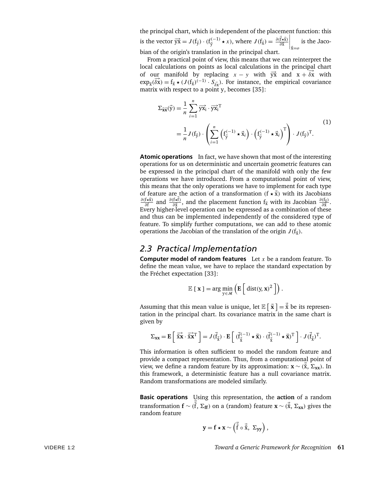the principal chart, which is independent of the placement function: this is the vector  $\overrightarrow{yx} = J(f_{\overrightarrow{y}}) \cdot (f_{\overrightarrow{y}}^{(-1)} \star x)$ , where  $J(f_{\overrightarrow{x}}) = \frac{\partial (\overrightarrow{f} \star \overrightarrow{x})}{\partial \overrightarrow{x}}$     xE=*o* is the Jacobian of the origin's translation in the principal chart.

From a practical point of view, this means that we can reinterpret the local calculations on points as local calculations in the principal chart of our manifold by replacing  $x - y$  with  $\overrightarrow{yx}$  and  $x + \delta x$  with  $\exp_{\bar{x}}(\bar{\delta x}) = f_{\bar{x}} \star (J(f_{\bar{x}})^{(-1)} \cdot S_{\bar{\delta x}})$ . For instance, the empirical covariance matrix with respect to a point y, becomes [35]:

$$
\Sigma_{\vec{\mathbf{x}}\vec{\mathbf{x}}}(\vec{\mathbf{y}}) = \frac{1}{n} \sum_{i=1}^{n} \overrightarrow{\mathbf{y}}\vec{\mathbf{x}}_{i} \cdot \overrightarrow{\mathbf{y}}\vec{\mathbf{x}}_{i}^{T}
$$
\n
$$
= \frac{1}{n} J(f_{\vec{\mathbf{y}}}) \cdot \left( \sum_{i=1}^{n} \left( f_{\vec{\mathbf{y}}}^{(-1)} \star \vec{\mathbf{x}}_{i} \right) \cdot \left( f_{\vec{\mathbf{y}}}^{(-1)} \star \vec{\mathbf{x}}_{i} \right)^{T} \right) \cdot J(f_{\vec{\mathbf{y}}})^{T}.
$$
\n(1)

**Atomic operations** In fact, we have shown that most of the interesting operations for us on deterministic and uncertain geometric features can be expressed in the principal chart of the manifold with only the few operations we have introduced. From a computational point of view, this means that the only operations we have to implement for each type of feature are the action of a transformation  $(f \star \vec{x})$  with its Jacobians  $\frac{\partial (f \star \vec{x})}{\partial \vec{f}}$  and  $\frac{\partial (f \star \vec{f})}{\partial \vec{x}}$ , and the placement function  $f_{\vec{x}}$  with its Jacobian  $\frac{\partial (f_{\vec{x}})}{\partial \vec{x}}$ . Every higher-level operation can be expressed as a combination of these and thus can be implemented independently of the considered type of feature. To simplify further computations, we can add to these atomic operations the Jacobian of the translation of the origin  $J(f_{\vec{x}})$ .

#### *2.3 Practical Implementation*

**Computer model of random features** Let *x* be a random feature. To define the mean value, we have to replace the standard expectation by the Fréchet expectation [33]:

$$
\mathbb{E} [\mathbf{x}] = \arg \min_{\mathbf{y} \in \mathcal{M}} \left( \mathbf{E} \left[ \text{ dist}(\mathbf{y}, \mathbf{x})^2 \right] \right).
$$

Assuming that this mean value is unique, let  $\mathbb{E}\left[\right.\vec{\mathbf{x}}\left.\right]=\vec{\bar{\mathbf{x}}}$  be its representation in the principal chart. Its covariance matrix in the same chart is given by

$$
\Sigma_{\mathbf{X}\mathbf{X}} = \mathbf{E}\left[\overrightarrow{\tilde{\mathbf{X}}}\cdot\overrightarrow{\tilde{\mathbf{X}}}\mathbf{X}^{\mathrm{T}}\right] = J(\vec{f}_{\vec{\tilde{\mathbf{X}}}}) \cdot \mathbf{E}\left[\overrightarrow{(\vec{f}_{\vec{\tilde{\mathbf{X}}}}^{(-1)} \star \vec{\mathbf{X}}}) \cdot (\overrightarrow{f}_{\vec{\tilde{\mathbf{X}}}}^{(-1)} \star \vec{\mathbf{X}})^{\mathrm{T}}\right] \cdot J(\vec{f}_{\vec{\tilde{\mathbf{X}}}})^{\mathrm{T}}.
$$

This information is often sufficient to model the random feature and provide a compact representation. Thus, from a computational point of view, we define a random feature by its approximation: **x** ∼  $(\bar{x}, \Sigma_{xx})$ . In this framework, a deterministic feature has a null covariance matrix. Random transformations are modeled similarly.

**Basic operations** Using this representation, the **action** of a random transformation  $\mathbf{f} \sim (\vec{\tilde{f}}, \Sigma_{\mathbf{f}f})$  on a (random) feature  $\mathbf{x} \sim (\vec{\tilde{x}}, \Sigma_{xx})$  gives the random feature

$$
y = f \star x \sim \left( \vec{\bar{f}} \circ \vec{\bar{x}}, \ \Sigma_{yy} \right),
$$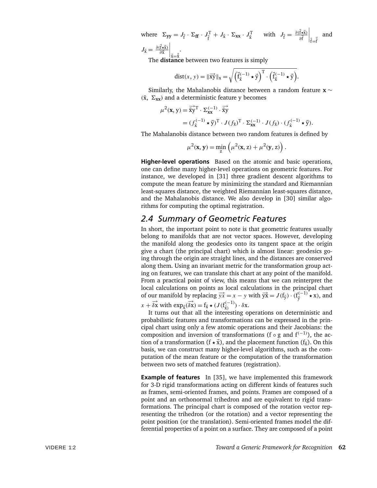where  $\Sigma_{yy} = J_{\tilde{f}} \cdot \Sigma_{ff} \cdot J_{\tilde{f}}^T + J_{\tilde{x}} \cdot \Sigma_{xx} \cdot J_{\tilde{x}}^T$  with  $J_{\tilde{f}} = \frac{\partial (\vec{f} \cdot \vec{x})}{\partial \vec{f}}$  $\Big|_{\vec{f} = \vec{\bar{f}}}$ and  $J_{\vec{x}} = \frac{\partial (\vec{f} \star \vec{x})}{\partial \vec{x}}$  $\Big|_{\vec{\bar{x}} = \vec{\bar{x}}}$ .

The **distance** between two features is simply

$$
dist(x, y) = \|\overrightarrow{xy}\|_{x} = \sqrt{\left(\overrightarrow{f}_{\overline{x}}^{(-1)} \star \overrightarrow{y}\right)^{T} \cdot \left(\overrightarrow{f}_{\overline{x}}^{(-1)} \star \overrightarrow{y}\right)}.
$$

Similarly, the Mahalanobis distance between a random feature **x** ∼  $(\bar{x}, \Sigma_{xx})$  and a deterministic feature y becomes

$$
\mu^{2}(\mathbf{x}, \mathbf{y}) = \overrightarrow{\bar{\mathbf{x}}}\overrightarrow{\mathbf{y}}^{T} \cdot \Sigma_{\mathbf{x}\mathbf{x}}^{(-1)} \cdot \overrightarrow{\bar{\mathbf{x}}}\overrightarrow{\mathbf{y}}
$$
  
=  $(f_{\overline{\mathbf{x}}}^{(-1)} \star \overrightarrow{\mathbf{y}})^{T} \cdot J(f_{\overline{\mathbf{x}}})^{T} \cdot \Sigma_{\mathbf{x}\mathbf{x}}^{(-1)} \cdot J(f_{\overline{\mathbf{x}}}) \cdot (f_{\overline{\mathbf{x}}}^{(-1)} \star \overrightarrow{\mathbf{y}}).$ 

The Mahalanobis distance between two random features is defined by

$$
\mu^{2}(\mathbf{x}, \mathbf{y}) = \min_{\mathbf{z}} \left( \mu^{2}(\mathbf{x}, \mathbf{z}) + \mu^{2}(\mathbf{y}, \mathbf{z}) \right).
$$

**Higher-level operations** Based on the atomic and basic operations, one can define many higher-level operations on geometric features. For instance, we developed in [31] three gradient descent algorithms to compute the mean feature by minimizing the standard and Riemannian least-squares distance, the weighted Riemannian least-squares distance, and the Mahalanobis distance. We also develop in [30] similar algorithms for computing the optimal registration.

#### *2.4 Summary of Geometric Features*

In short, the important point to note is that geometric features usually belong to manifolds that are not vector spaces. However, developing the manifold along the geodesics onto its tangent space at the origin give a chart (the principal chart) which is almost linear: geodesics going through the origin are straight lines, and the distances are conserved along them. Using an invariant metric for the transformation group acting on features, we can translate this chart at any point of the manifold. From a practical point of view, this means that we can reinterpret the local calculations on points as local calculations in the principal chart of our manifold by replacing  $\overrightarrow{yx} = x - y$  with  $\overrightarrow{yx} = J(f_{\overrightarrow{y}}) \cdot (f_{\overrightarrow{y}}^{(-1)})^2 \star x$ , and

 $x + \overrightarrow{\delta x}$  with  $\exp_{\overrightarrow{x}}(\overrightarrow{\delta x}) = f_{\overrightarrow{x}} \star (J(f_{\overrightarrow{x}}^{(-1)}) \cdot \delta x$ .

It turns out that all the interesting operations on deterministic and probabilistic features and transformations can be expressed in the principal chart using only a few atomic operations and their Jacobians: the composition and inversion of transformations (f  $\circ$  g and f<sup>(−1)</sup>), the action of a transformation ( $f \star \vec{x}$ ), and the placement function ( $f_{\vec{x}}$ ). On this basis, we can construct many higher-level algorithms, such as the computation of the mean feature or the computation of the transformation between two sets of matched features (registration).

**Example of features** In [35], we have implemented this framework for 3-D rigid transformations acting on different kinds of features such as frames, semi-oriented frames, and points. Frames are composed of a point and an orthonormal trihedron and are equivalent to rigid transformations. The principal chart is composed of the rotation vector representing the trihedron (or the rotation) and a vector representing the point position (or the translation). Semi-oriented frames model the differential properties of a point on a surface. They are composed of a point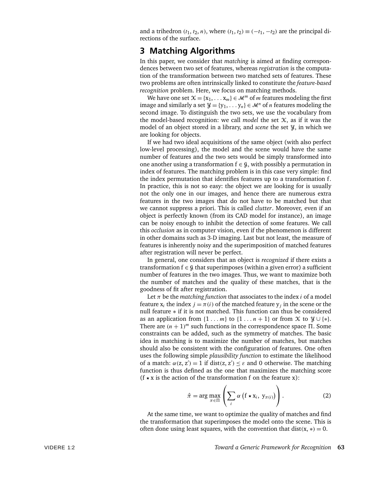and a trihedron  $(t_1, t_2, n)$ , where  $(t_1, t_2) \equiv (-t_1, -t_2)$  are the principal directions of the surface.

#### **3 Matching Algorithms**

In this paper, we consider that *matching* is aimed at finding correspondences between two set of features, whereas *registration* is the computation of the transformation between two matched sets of features. These two problems are often intrinsically linked to constitute the *feature-based recognition* problem. Here, we focus on matching methods.

We have one set  $\mathcal{X} = \{x_1, \dots, x_m\} \in \mathcal{M}^m$  of *m* features modeling the first image and similarly a set  $\mathcal{Y} = \{y_1, \dots, y_n\} \in \mathcal{M}^n$  of *n* features modeling the second image. To distinguish the two sets, we use the vocabulary from the model-based recognition: we call *model* the set  $\mathcal{X}$ , as if it was the model of an object stored in a library, and *scene* the set Y, in which we are looking for objects.

If we had two ideal acquisitions of the same object (with also perfect low-level processing), the model and the scene would have the same number of features and the two sets would be simply transformed into one another using a transformation  $f \in \mathcal{G}$ , with possibly a permutation in index of features. The matching problem is in this case very simple: find the index permutation that identifies features up to a transformation f. In practice, this is not so easy: the object we are looking for is usually not the only one in our images, and hence there are numerous extra features in the two images that do not have to be matched but that we cannot suppress a priori. This is called *clutter*. Moreover, even if an object is perfectly known (from its CAD model for instance), an image can be noisy enough to inhibit the detection of some features. We call this *occlusion* as in computer vision, even if the phenomenon is different in other domains such as 3-D imaging. Last but not least, the measure of features is inherently noisy and the superimposition of matched features after registration will never be perfect.

In general, one considers that an object is *recognized* if there exists a transformation  $f \in \mathcal{G}$  that superimposes (within a given error) a sufficient number of features in the two images. Thus, we want to maximize both the number of matches and the quality of these matches, that is the goodness of fit after registration.

Let  $\pi$  be the *matching function* that associates to the index *i* of a model feature  $x_i$  the index  $j = \pi(i)$  of the matched feature  $y_j$  in the scene or the null feature ∗ if it is not matched. This function can thus be considered as an application from  $\{1 \ldots m\}$  to  $\{1 \ldots n+1\}$  or from X to  $\mathcal{Y} \cup \{*\}.$ There are  $(n + 1)^m$  such functions in the correspondence space  $\Pi$ . Some constraints can be added, such as the symmetry of matches. The basic idea in matching is to maximize the number of matches, but matches should also be consistent with the configuration of features. One often uses the following simple *plausibility function* to estimate the likelihood of a match:  $\alpha(z, z') = 1$  if dist $(z, z') \leq \varepsilon$  and 0 otherwise. The matching function is thus defined as the one that maximizes the matching score ( $f \star x$  is the action of the transformation f on the feature x):

$$
\hat{\pi} = \arg \max_{\pi \in \Pi} \left( \sum_{i} \alpha \left( f \star x_{i}, \ y_{\pi(i)} \right) \right). \tag{2}
$$

At the same time, we want to optimize the quality of matches and find the transformation that superimposes the model onto the scene. This is often done using least squares, with the convention that dist $(x, *) = 0$ .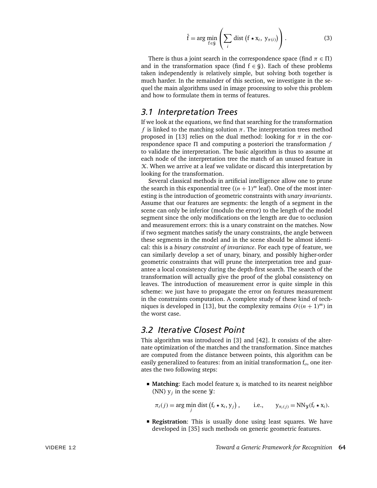$$
\hat{\mathbf{f}} = \arg \min_{\mathbf{f} \in \mathcal{G}} \left( \sum_{i} \text{dist} \left( \mathbf{f} \star \mathbf{x}_{i}, \, \mathbf{y}_{\pi(i)} \right) \right). \tag{3}
$$

There is thus a joint search in the correspondence space (find  $\pi \in \Pi$ ) and in the transformation space (find  $f \in \mathcal{G}$ ). Each of these problems taken independently is relatively simple, but solving both together is much harder. In the remainder of this section, we investigate in the sequel the main algorithms used in image processing to solve this problem and how to formulate them in terms of features.

#### *3.1 Interpretation Trees*

If we look at the equations, we find that searching for the transformation *f* is linked to the matching solution  $\pi$ . The interpretation trees method proposed in [13] relies on the dual method: looking for  $\pi$  in the correspondence space  $\Pi$  and computing a posteriori the transformation  $f$ to validate the interpretation. The basic algorithm is thus to assume at each node of the interpretation tree the match of an unused feature in  $X$ . When we arrive at a leaf we validate or discard this interpretation by looking for the transformation.

Several classical methods in artificial intelligence allow one to prune the search in this exponential tree  $((n + 1)<sup>m</sup>$  leaf). One of the most interesting is the introduction of geometric constraints with *unary invariants*. Assume that our features are segments: the length of a segment in the scene can only be inferior (modulo the error) to the length of the model segment since the only modifications on the length are due to occlusion and measurement errors: this is a unary constraint on the matches. Now if two segment matches satisfy the unary constraints, the angle between these segments in the model and in the scene should be almost identical: this is a *binary constraint of invariance*. For each type of feature, we can similarly develop a set of unary, binary, and possibly higher-order geometric constraints that will prune the interpretation tree and guarantee a local consistency during the depth-first search. The search of the transformation will actually give the proof of the global consistency on leaves. The introduction of measurement error is quite simple in this scheme: we just have to propagate the error on features measurement in the constraints computation. A complete study of these kind of techniques is developed in [13], but the complexity remains  $O((n + 1)^m)$  in the worst case.

#### *3.2 Iterative Closest Point*

This algorithm was introduced in [3] and [42]. It consists of the alternate optimization of the matches and the transformation. Since matches are computed from the distance between points, this algorithm can be easily generalized to features: from an initial transformation f*o*, one iterates the two following steps:

■ **Matching**: Each model feature x<sub>*i*</sub> is matched to its nearest neighbor (NN)  $y_i$  in the scene  $\mathcal{Y}$ :

$$
\pi_t(j) = \arg\min_j \text{dist}\left(f_t \star x_i, y_j\right), \qquad \text{i.e.,} \qquad y_{\pi_t(j)} = \text{NN}_{\mathcal{Y}}(f_t \star x_i).
$$

**Registration**: This is usually done using least squares. We have developed in [35] such methods on generic geometric features.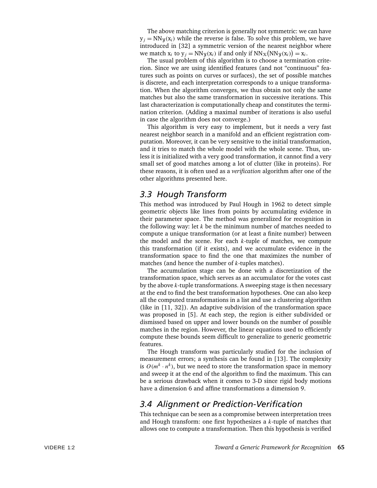The above matching criterion is generally not symmetric: we can have  $y_i = NN_y(x_i)$  while the reverse is false. To solve this problem, we have introduced in [32] a symmetric version of the nearest neighbor where we match  $x_i$  to  $y_j = NN_y(x_i)$  if and only if  $NN_x(NN_y(x_i)) = x_i$ .

The usual problem of this algorithm is to choose a termination criterion. Since we are using identified features (and not "continuous" features such as points on curves or surfaces), the set of possible matches is discrete, and each interpretation corresponds to a unique transformation. When the algorithm converges, we thus obtain not only the same matches but also the same transformation in successive iterations. This last characterization is computationally cheap and constitutes the termination criterion. (Adding a maximal number of iterations is also useful in case the algorithm does not converge.)

This algorithm is very easy to implement, but it needs a very fast nearest neighbor search in a manifold and an efficient registration computation. Moreover, it can be very sensitive to the initial transformation, and it tries to match the whole model with the whole scene. Thus, unless it is initialized with a very good transformation, it cannot find a very small set of good matches among a lot of clutter (like in proteins). For these reasons, it is often used as a *verification* algorithm after one of the other algorithms presented here.

#### *3.3 Hough Transform*

This method was introduced by Paul Hough in 1962 to detect simple geometric objects like lines from points by accumulating evidence in their parameter space. The method was generalized for recognition in the following way: let *k* be the minimum number of matches needed to compute a unique transformation (or at least a finite number) between the model and the scene. For each *k*-tuple of matches, we compute this transformation (if it exists), and we accumulate evidence in the transformation space to find the one that maximizes the number of matches (and hence the number of *k*-tuples matches).

The accumulation stage can be done with a discretization of the transformation space, which serves as an accumulator for the votes cast by the above *k*-tuple transformations. A sweeping stage is then necessary at the end to find the best transformation hypotheses. One can also keep all the computed transformations in a list and use a clustering algorithm (like in [11, 32]). An adaptive subdivision of the transformation space was proposed in [5]. At each step, the region is either subdivided or dismissed based on upper and lower bounds on the number of possible matches in the region. However, the linear equations used to efficiently compute these bounds seem difficult to generalize to generic geometric features.

The Hough transform was particularly studied for the inclusion of measurement errors; a synthesis can be found in [13]. The complexity is  $O(m^k \cdot n^k)$ , but we need to store the transformation space in memory and sweep it at the end of the algorithm to find the maximum. This can be a serious drawback when it comes to 3-D since rigid body motions have a dimension 6 and affine transformations a dimension 9.

## *3.4 Alignment or Prediction-Verification*

This technique can be seen as a compromise between interpretation trees and Hough transform: one first hypothesizes a *k*-tuple of matches that allows one to compute a transformation. Then this hypothesis is verified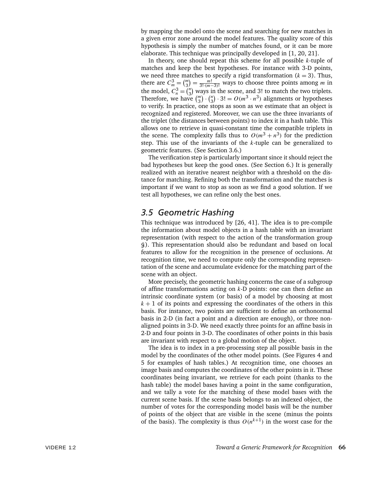by mapping the model onto the scene and searching for new matches in a given error zone around the model features. The quality score of this hypothesis is simply the number of matches found, or it can be more elaborate. This technique was principally developed in [1, 20, 21].

In theory, one should repeat this scheme for all possible *k*-tuple of matches and keep the best hypotheses. For instance with 3-D points, we need three matches to specify a rigid transformation  $(k = 3)$ . Thus, there are  $C_m^3 = \binom{m}{3}$  $\binom{m}{3} = \frac{m!}{3! \cdot (m-3)!}$  ways to choose three points among *m* in the model,  $C_n^3 = \binom{n}{3}$  $\binom{n}{3}$  ways in the scene, and 3! to match the two triplets. Therefore, we have  $\binom{m}{3}$  $\binom{n}{3} \cdot \binom{n}{3}$  $\binom{n}{3} \cdot 3! = O(m^3 \cdot n^3)$  alignments or hypotheses to verify. In practice, one stops as soon as we estimate that an object is recognized and registered. Moreover, we can use the three invariants of the triplet (the distances between points) to index it in a hash table. This allows one to retrieve in quasi-constant time the compatible triplets in the scene. The complexity falls thus to  $O(m^3 + n^3)$  for the prediction step. This use of the invariants of the *k*-tuple can be generalized to geometric features. (See Section 3.6.)

The verification step is particularly important since it should reject the bad hypotheses but keep the good ones. (See Section 6.) It is generally realized with an iterative nearest neighbor with a threshold on the distance for matching. Refining both the transformation and the matches is important if we want to stop as soon as we find a good solution. If we test all hypotheses, we can refine only the best ones.

#### *3.5 Geometric Hashing*

This technique was introduced by [26, 41]. The idea is to pre-compile the information about model objects in a hash table with an invariant representation (with respect to the action of the transformation group G). This representation should also be redundant and based on local features to allow for the recognition in the presence of occlusions. At recognition time, we need to compute only the corresponding representation of the scene and accumulate evidence for the matching part of the scene with an object.

More precisely, the geometric hashing concerns the case of a subgroup of affine transformations acting on *k*-D points: one can then define an intrinsic coordinate system (or basis) of a model by choosing at most  $k + 1$  of its points and expressing the coordinates of the others in this basis. For instance, two points are sufficient to define an orthonormal basis in 2-D (in fact a point and a direction are enough), or three nonaligned points in 3-D. We need exactly three points for an affine basis in 2-D and four points in 3-D. The coordinates of other points in this basis are invariant with respect to a global motion of the object.

The idea is to index in a pre-processing step all possible basis in the model by the coordinates of the other model points. (See Figures 4 and 5 for examples of hash tables.) At recognition time, one chooses an image basis and computes the coordinates of the other points in it. These coordinates being invariant, we retrieve for each point (thanks to the hash table) the model bases having a point in the same configuration, and we tally a vote for the matching of these model bases with the current scene basis. If the scene basis belongs to an indexed object, the number of votes for the corresponding model basis will be the number of points of the object that are visible in the scene (minus the points of the basis). The complexity is thus  $O(n^{k+1})$  in the worst case for the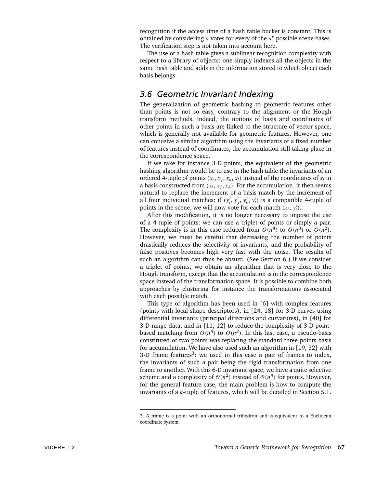recognition if the access time of a hash table bucket is constant. This is obtained by considering *n* votes for every of the  $n^k$  possible scene bases. The verification step is not taken into account here.

The use of a hash table gives a sublinear recognition complexity with respect to a library of objects: one simply indexes all the objects in the same hash table and adds in the information stored to which object each basis belongs.

### *3.6 Geometric Invariant Indexing*

The generalization of geometric hashing to geometric features other than points is not so easy, contrary to the alignment or the Hough transform methods. Indeed, the notions of basis and coordinates of other points in such a basis are linked to the structure of vector space, which is generally not available for geometric features. However, one can conceive a similar algorithm using the invariants of a fixed number of features instead of coordinates, the accumulation still taking place in the correspondence space.

If we take for instance 3-D points, the equivalent of the geometric hashing algorithm would be to use in the hash table the invariants of an ordered 4-tuple of points  $(x_i, x_j, x_k, x_l)$  instead of the coordinates of  $x_l$  in a basis constructed from  $(x_i, x_j, x_k)$ . For the accumulation, it then seems natural to replace the increment of a basis match by the increment of all four individual matches: if  $(y'_i, y'_j, y'_k, y'_l)$  is a compatible 4-tuple of points in the scene, we will now vote for each match  $(x_i, y'_i)$ .

After this modification, it is no longer necessary to impose the use of a 4-tuple of points: we can use a triplet of points or simply a pair. The complexity is in this case reduced from  $O(n^4)$  to  $O(n^3)$  or  $O(n^2)$ . However, we must be careful that decreasing the number of points drastically reduces the selectivity of invariants, and the probability of false positives becomes high very fast with the noise. The results of such an algorithm can thus be absurd. (See Section 6.) If we consider a triplet of points, we obtain an algorithm that is very close to the Hough transform, except that the accumulation is in the correspondence space instead of the transformation space. It is possible to combine both approaches by clustering for instance the transformations associated with each possible match.

This type of algorithm has been used in [6] with complex features (points with local shape descriptors), in [24, 18] for 3-D curves using differential invariants (principal directions and curvatures), in [40] for 3-D range data, and in [11, 12] to reduce the complexity of 3-D pointbased matching from  $O(n^4)$  to  $O(n^3)$ . In this last case, a pseudo-basis constituted of two points was replacing the standard three points basis for accumulation. We have also used such an algorithm in [19, 32] with 3-D frame features<sup>3</sup>: we used in this case a pair of frames to index, the invariants of such a pair being the rigid transformation from one frame to another. With this 6-D invariant space, we have a quite selective scheme and a complexity of  $\mathcal{O}(n^2)$  instead of  $\mathcal{O}(n^4)$  for points. However, for the general feature case, the main problem is how to compute the invariants of a *k*-tuple of features, which will be detailed in Section 5.1.

<sup>3.</sup> A frame is a point with an orthonormal trihedron and is equivalent to a Euclidean coordinate system.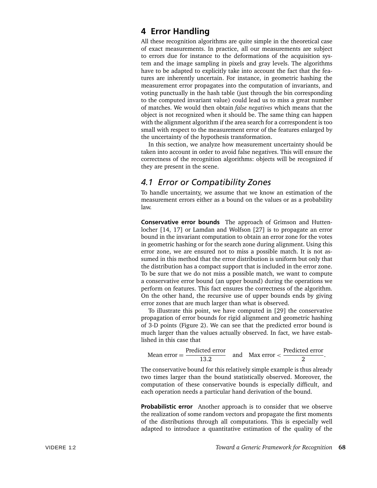### **4 Error Handling**

All these recognition algorithms are quite simple in the theoretical case of exact measurements. In practice, all our measurements are subject to errors due for instance to the deformations of the acquisition system and the image sampling in pixels and gray levels. The algorithms have to be adapted to explicitly take into account the fact that the features are inherently uncertain. For instance, in geometric hashing the measurement error propagates into the computation of invariants, and voting punctually in the hash table (just through the bin corresponding to the computed invariant value) could lead us to miss a great number of matches. We would then obtain *false negatives* which means that the object is not recognized when it should be. The same thing can happen with the alignment algorithm if the area search for a correspondent is too small with respect to the measurement error of the features enlarged by the uncertainty of the hypothesis transformation.

In this section, we analyze how measurement uncertainty should be taken into account in order to avoid false negatives. This will ensure the correctness of the recognition algorithms: objects will be recognized if they are present in the scene.

## *4.1 Error or Compatibility Zones*

To handle uncertainty, we assume that we know an estimation of the measurement errors either as a bound on the values or as a probability law.

**Conservative error bounds** The approach of Grimson and Huttenlocher [14, 17] or Lamdan and Wolfson [27] is to propagate an error bound in the invariant computation to obtain an error zone for the votes in geometric hashing or for the search zone during alignment. Using this error zone, we are ensured not to miss a possible match. It is not assumed in this method that the error distribution is uniform but only that the distribution has a compact support that is included in the error zone. To be sure that we do not miss a possible match, we want to compute a conservative error bound (an upper bound) during the operations we perform on features. This fact ensures the correctness of the algorithm. On the other hand, the recursive use of upper bounds ends by giving error zones that are much larger than what is observed.

To illustrate this point, we have computed in [29] the conservative propagation of error bounds for rigid alignment and geometric hashing of 3-D points (Figure 2). We can see that the predicted error bound is much larger than the values actually observed. In fact, we have established in this case that

Mean error = 
$$
\frac{\text{Predicted error}}{13.2}
$$
 and Max error  $\lt \frac{\text{Predicted error}}{2}$ .

The conservative bound for this relatively simple example is thus already two times larger than the bound statistically observed. Moreover, the computation of these conservative bounds is especially difficult, and each operation needs a particular hand derivation of the bound.

**Probabilistic error** Another approach is to consider that we observe the realization of some random vectors and propagate the first moments of the distributions through all computations. This is especially well adapted to introduce a quantitative estimation of the quality of the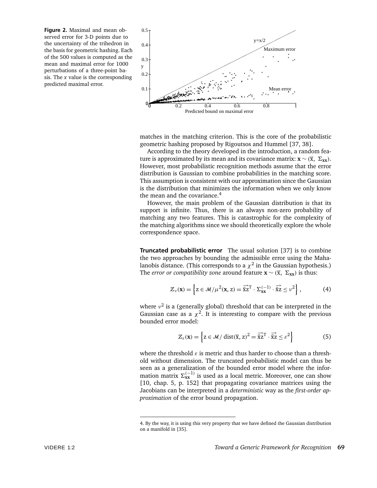**Figure 2.** Maximal and mean observed error for 3-D points due to the uncertainty of the trihedron in the basis for geometric hashing. Each of the 500 values is computed as the mean and maximal error for 1000 perturbations of a three-point basis. The *x* value is the corresponding predicted maximal error.



matches in the matching criterion. This is the core of the probabilistic geometric hashing proposed by Rigoutsos and Hummel [37, 38].

According to the theory developed in the introduction, a random feature is approximated by its mean and its covariance matrix:  $\mathbf{x} \sim (\bar{x}, \Sigma_{xx})$ . However, most probabilistic recognition methods assume that the error distribution is Gaussian to combine probabilities in the matching score. This assumption is consistent with our approximation since the Gaussian is the distribution that minimizes the information when we only know the mean and the covariance.<sup>4</sup>

However, the main problem of the Gaussian distribution is that its support is infinite. Thus, there is an always non-zero probability of matching any two features. This is catastrophic for the complexity of the matching algorithms since we should theoretically explore the whole correspondence space.

**Truncated probabilistic error** The usual solution [37] is to combine the two approaches by bounding the admissible error using the Mahalanobis distance. (This corresponds to a  $\chi^2$  in the Gaussian hypothesis.) The *error or compatibility zone* around feature  $\mathbf{x} \sim (\overline{x}, \Sigma_{xx})$  is thus:

$$
\mathcal{Z}_{\nu}(\mathbf{x}) = \left\{ \mathbf{z} \in \mathcal{M} / \mu^2(\mathbf{x}, \mathbf{z}) = \overline{\overline{\overline{\mathbf{x}}}} \overline{\mathbf{z}}^T \cdot \Sigma_{\mathbf{x} \mathbf{x}}^{(-1)} \cdot \overline{\overline{\mathbf{x}}} \overline{\mathbf{z}} \leq \nu^2 \right\},\tag{4}
$$

where *ν*<sup>2</sup> is a (generally global) threshold that can be interpreted in the Gaussian case as a  $\chi^2$ . It is interesting to compare with the previous bounded error model:

$$
\mathcal{Z}_{\varepsilon}(\mathbf{x}) = \left\{ \mathbf{z} \in \mathcal{M} / \operatorname{dist}(\overline{\mathbf{x}}, \mathbf{z})^2 = \overrightarrow{\overline{\mathbf{x}}}\overrightarrow{\mathbf{z}}^{\mathrm{T}} \cdot \overrightarrow{\overline{\mathbf{x}}}\overrightarrow{\mathbf{z}} \le \varepsilon^2 \right\} \tag{5}
$$

where the threshold *ε* is metric and thus harder to choose than a threshold without dimension. The truncated probabilistic model can thus be seen as a generalization of the bounded error model where the information matrix  $\Sigma_{xx}^{(-1)}$  is used as a local metric. Moreover, one can show [10, chap. 5, p. 152] that propagating covariance matrices using the Jacobians can be interpreted in a *deterministic* way as the *first-order approximation* of the error bound propagation.

<sup>4.</sup> By the way, it is using this very property that we have defined the Gaussian distribution on a manifold in [35].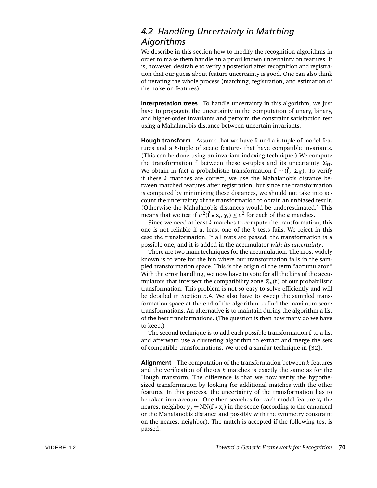## *4.2 Handling Uncertainty in Matching Algorithms*

We describe in this section how to modify the recognition algorithms in order to make them handle an a priori known uncertainty on features. It is, however, desirable to verify a posteriori after recognition and registration that our guess about feature uncertainty is good. One can also think of iterating the whole process (matching, registration, and estimation of the noise on features).

**Interpretation trees** To handle uncertainty in this algorithm, we just have to propagate the uncertainty in the computation of unary, binary, and higher-order invariants and perform the constraint satisfaction test using a Mahalanobis distance between uncertain invariants.

**Hough transform** Assume that we have found a *k*-tuple of model features and a *k*-tuple of scene features that have compatible invariants. (This can be done using an invariant indexing technique.) We compute the transformation  $\hat{f}$  between these *k*-tuples and its uncertainty  $\Sigma_{\bf ff}$ . We obtain in fact a probabilistic transformation **f** ∼ *(*ˆ f, *6***ff***)*. To verify if these *k* matches are correct, we use the Mahalanobis distance between matched features after registration; but since the transformation is computed by minimizing these distances, we should not take into account the uncertainty of the transformation to obtain an unbiased result. (Otherwise the Mahalanobis distances would be underestimated.) This means that we test if  $\mu^2(\hat{f} \star \mathbf{x}_i, \mathbf{y}_i) \leq \nu^2$  for each of the *k* matches.

Since we need at least *k* matches to compute the transformation, this one is not reliable if at least one of the *k* tests fails. We reject in this case the transformation. If all tests are passed, the transformation is a possible one, and it is added in the accumulator *with its uncertainty*.

There are two main techniques for the accumulation. The most widely known is to vote for the bin where our transformation falls in the sampled transformation space. This is the origin of the term "accumulator." With the error handling, we now have to vote for all the bins of the accumulators that intersect the compatibility zone  $\mathcal{Z}_{\nu}(\mathbf{f})$  of our probabilistic transformation. This problem is not so easy to solve efficiently and will be detailed in Section 5.4. We also have to sweep the sampled transformation space at the end of the algorithm to find the maximum score transformations. An alternative is to maintain during the algorithm a list of the best transformations. (The question is then how many do we have to keep.)

The second technique is to add each possible transformation **f** to a list and afterward use a clustering algorithm to extract and merge the sets of compatible transformations. We used a similar technique in [32].

**Alignment** The computation of the transformation between *k* features and the verification of theses *k* matches is exactly the same as for the Hough transform. The difference is that we now verify the hypothesized transformation by looking for additional matches with the other features. In this process, the uncertainty of the transformation has to be taken into account. One then searches for each model feature  $\mathbf{x}_i$  the nearest neighbor  $y_j = NN(f \star x_j)$  in the scene (according to the canonical or the Mahalanobis distance and possibly with the symmetry constraint on the nearest neighbor). The match is accepted if the following test is passed: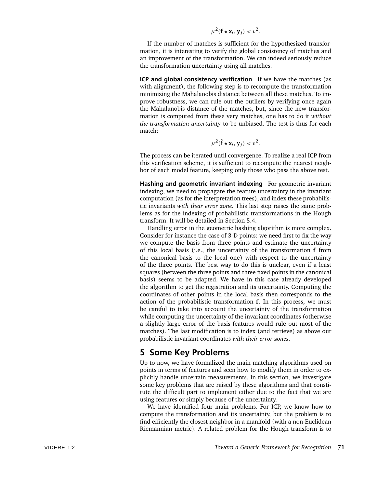$$
\mu^2(\mathbf{f} \star \mathbf{x}_i, \mathbf{y}_j) < \nu^2.
$$

If the number of matches is sufficient for the hypothesized transformation, it is interesting to verify the global consistency of matches and an improvement of the transformation. We can indeed seriously reduce the transformation uncertainty using all matches.

**ICP and global consistency verification** If we have the matches (as with alignment), the following step is to recompute the transformation minimizing the Mahalanobis distance between all these matches. To improve robustness, we can rule out the outliers by verifying once again the Mahalanobis distance of the matches, but, since the new transformation is computed from these very matches, one has to do it *without the transformation uncertainty* to be unbiased. The test is thus for each match:

$$
\mu^2(\hat{\mathbf{f}} \star \mathbf{x}_i, \mathbf{y}_j) < \nu^2.
$$

The process can be iterated until convergence. To realize a real ICP from this verification scheme, it is sufficient to recompute the nearest neighbor of each model feature, keeping only those who pass the above test.

**Hashing and geometric invariant indexing** For geometric invariant indexing, we need to propagate the feature uncertainty in the invariant computation (as for the interpretation trees), and index these probabilistic invariants *with their error zone*. This last step raises the same problems as for the indexing of probabilistic transformations in the Hough transform. It will be detailed in Section 5.4.

Handling error in the geometric hashing algorithm is more complex. Consider for instance the case of 3-D points: we need first to fix the way we compute the basis from three points and estimate the uncertainty of this local basis (i.e., the uncertainty of the transformation **f** from the canonical basis to the local one) with respect to the uncertainty of the three points. The best way to do this is unclear, even if a least squares (between the three points and three fixed points in the canonical basis) seems to be adapted. We have in this case already developed the algorithm to get the registration and its uncertainty. Computing the coordinates of other points in the local basis then corresponds to the action of the probabilistic transformation **f**. In this process, we must be careful to take into account the uncertainty of the transformation while computing the uncertainty of the invariant coordinates (otherwise a slightly large error of the basis features would rule out most of the matches). The last modification is to index (and retrieve) as above our probabilistic invariant coordinates *with their error zones*.

#### **5 Some Key Problems**

Up to now, we have formalized the main matching algorithms used on points in terms of features and seen how to modify them in order to explicitly handle uncertain measurements. In this section, we investigate some key problems that are raised by these algorithms and that constitute the difficult part to implement either due to the fact that we are using features or simply because of the uncertainty.

We have identified four main problems. For ICP, we know how to compute the transformation and its uncertainty, but the problem is to find efficiently the closest neighbor in a manifold (with a non-Euclidean Riemannian metric). A related problem for the Hough transform is to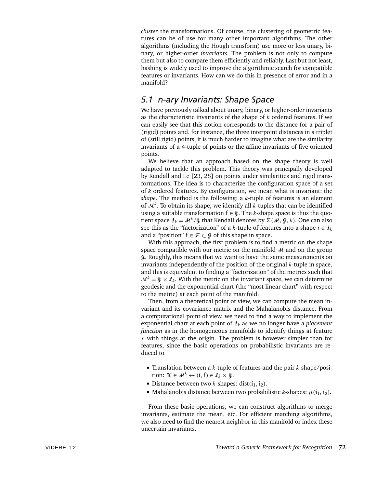*cluster* the transformations. Of course, the clustering of geometric features can be of use for many other important algorithms. The other algorithms (including the Hough transform) use more or less unary, binary, or higher-order *invariants*. The problem is not only to compute them but also to compare them efficiently and reliably. Last but not least, hashing is widely used to improve the algorithmic search for compatible features or invariants. How can we do this in presence of error and in a manifold?

## *5.1 n-ary Invariants: Shape Space*

We have previously talked about unary, binary, or higher-order invariants as the characteristic invariants of the shape of *k* ordered features. If we can easily see that this notion corresponds to the distance for a pair of (rigid) points and, for instance, the three interpoint distances in a triplet of (still rigid) points, it is much harder to imagine what are the similarity invariants of a 4-tuple of points or the affine invariants of five oriented points.

We believe that an approach based on the shape theory is well adapted to tackle this problem. This theory was principally developed by Kendall and Le [23, 28] on points under similarities and rigid transformations. The idea is to characterize the configuration space of a set of *k* ordered features. By configuration, we mean what is invariant: the *shape*. The method is the following: a *k*-tuple of features is an element of  $\mathcal{M}^k$ . To obtain its shape, we identify all *k*-tuples that can be identified using a suitable transformation  $f \in \mathcal{G}$ . The *k*-shape space is thus the quotient space  $I_k = \mathcal{M}^k/g$  that Kendall denotes by  $\Sigma(\mathcal{M}, g, k)$ . One can also see this as the "factorization" of a *k*-tuple of features into a shape  $i \in \mathcal{I}_k$ and a "position"  $f \in \mathcal{F} \subset \mathcal{G}$  of this shape in space.

With this approach, the first problem is to find a metric on the shape space compatible with our metric on the manifold  $M$  and on the group G. Roughly, this means that we want to have the same measurements on invariants independently of the position of the original *k*-tuple in space, and this is equivalent to finding a "factorization" of the metrics such that  $M^k = \mathcal{G} \times \mathcal{I}_k$ . With the metric on the invariant space, we can determine geodesic and the exponential chart (the "most linear chart" with respect to the metric) at each point of the manifold.

Then, from a theoretical point of view, we can compute the mean invariant and its covariance matrix and the Mahalanobis distance. From a computational point of view, we need to find a way to implement the exponential chart at each point of I*<sup>k</sup>* as we no longer have a *placement function* as in the homogeneous manifolds to identify things at feature *x* with things at the origin. The problem is however simpler than for features, since the basic operations on probabilistic invariants are reduced to

- Translation between a *k*-tuple of features and the pair *k*-shape/position:  $X \in \mathcal{M}^k \leftrightarrow (i, f) \in I_k \times I_k^0$ .
- Distance between two *k*-shapes: dist $(i_1, i_2)$ .
- $\blacksquare$  Mahalanobis distance between two probabilistic *k*-shapes:  $\mu$ ( $\mathbf{i}_1$ ,  $\mathbf{i}_2$ ).

From these basic operations, we can construct algorithms to merge invariants, estimate the mean, etc. For efficient matching algorithms, we also need to find the nearest neighbor in this manifold or index these uncertain invariants.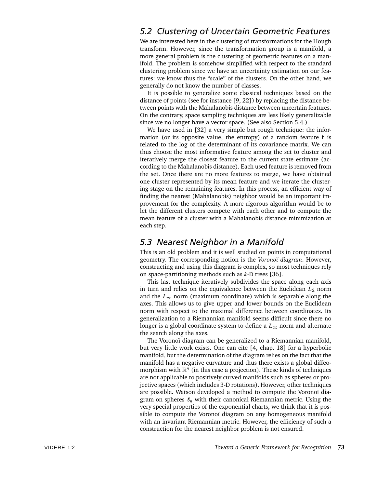## *5.2 Clustering of Uncertain Geometric Features*

We are interested here in the clustering of transformations for the Hough transform. However, since the transformation group is a manifold, a more general problem is the clustering of geometric features on a manifold. The problem is somehow simplified with respect to the standard clustering problem since we have an uncertainty estimation on our features: we know thus the "scale" of the clusters. On the other hand, we generally do not know the number of classes.

It is possible to generalize some classical techniques based on the distance of points (see for instance [9, 22]) by replacing the distance between points with the Mahalanobis distance between uncertain features. On the contrary, space sampling techniques are less likely generalizable since we no longer have a vector space. (See also Section 5.4.)

We have used in [32] a very simple but rough technique: the information (or its opposite value, the entropy) of a random feature **f** is related to the log of the determinant of its covariance matrix. We can thus choose the most informative feature among the set to cluster and iteratively merge the closest feature to the current state estimate (according to the Mahalanobis distance). Each used feature is removed from the set. Once there are no more features to merge, we have obtained one cluster represented by its mean feature and we iterate the clustering stage on the remaining features. In this process, an efficient way of finding the nearest (Mahalanobis) neighbor would be an important improvement for the complexity. A more rigorous algorithm would be to let the different clusters compete with each other and to compute the mean feature of a cluster with a Mahalanobis distance minimization at each step.

#### *5.3 Nearest Neighbor in a Manifold*

This is an old problem and it is well studied on points in computational geometry. The corresponding notion is the *Vorono¨ı diagram*. However, constructing and using this diagram is complex, so most techniques rely on space-partitioning methods such as *k*-D trees [36].

This last technique iteratively subdivides the space along each axis in turn and relies on the equivalence between the Euclidean *L*<sup>2</sup> norm and the  $L_{\infty}$  norm (maximum coordinate) which is separable along the axes. This allows us to give upper and lower bounds on the Euclidean norm with respect to the maximal difference between coordinates. Its generalization to a Riemannian manifold seems difficult since there no longer is a global coordinate system to define a *L*∞ norm and alternate the search along the axes.

The Voronoï diagram can be generalized to a Riemannian manifold, but very little work exists. One can cite [4, chap. 18] for a hyperbolic manifold, but the determination of the diagram relies on the fact that the manifold has a negative curvature and thus there exists a global diffeomorphism with  $\mathbb{R}^n$  (in this case a projection). These kinds of techniques are not applicable to positively curved manifolds such as spheres or projective spaces (which includes 3-D rotations). However, other techniques are possible. Watson developed a method to compute the Voronoï diagram on spheres  $\delta_n$  with their canonical Riemannian metric. Using the very special properties of the exponential charts, we think that it is possible to compute the Voronoï diagram on any homogeneous manifold with an invariant Riemannian metric. However, the efficiency of such a construction for the nearest neighbor problem is not ensured.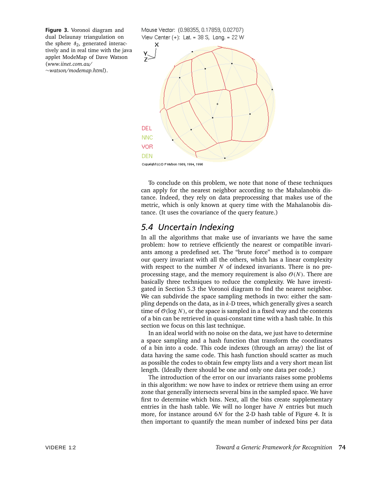Figure 3. Voronoï diagram and dual Delaunay triangulation on the sphere  $s_2$ , generated interactively and in real time with the java applet ModeMap of Dave Watson (*www.iinet.com.au/* ∼*watson/modemap.html*).

View Center  $(+)$ : Lat. = 38 S, Long. = 22 W x  $\frac{Y}{Z}$ DEL **NNC** VOR **DEN** 

Mouse Vector: (0.98355, 0.17859, 0.02707)

Copyright (c) D F Watson 1989, 1994, 1996

To conclude on this problem, we note that none of these techniques can apply for the nearest neighbor according to the Mahalanobis distance. Indeed, they rely on data preprocessing that makes use of the metric, which is only known at query time with the Mahalanobis distance. (It uses the covariance of the query feature.)

#### *5.4 Uncertain Indexing*

In all the algorithms that make use of invariants we have the same problem: how to retrieve efficiently the nearest or compatible invariants among a predefined set. The "brute force" method is to compare our query invariant with all the others, which has a linear complexity with respect to the number *N* of indexed invariants. There is no preprocessing stage, and the memory requirement is also  $O(N)$ . There are basically three techniques to reduce the complexity. We have investigated in Section 5.3 the Voronoï diagram to find the nearest neighbor. We can subdivide the space sampling methods in two: either the sampling depends on the data, as in *k*-D trees, which generally gives a search time of  $O(\log N)$ , or the space is sampled in a fixed way and the contents of a bin can be retrieved in quasi-constant time with a hash table. In this section we focus on this last technique.

In an ideal world with no noise on the data, we just have to determine a space sampling and a hash function that transform the coordinates of a bin into a code. This code indexes (through an array) the list of data having the same code. This hash function should scatter as much as possible the codes to obtain few empty lists and a very short mean list length. (Ideally there should be one and only one data per code.)

The introduction of the error on our invariants raises some problems in this algorithm: we now have to index or retrieve them using an error zone that generally intersects several bins in the sampled space. We have first to determine which bins. Next, all the bins create supplementary entries in the hash table. We will no longer have *N* entries but much more, for instance around 6*N* for the 2-D hash table of Figure 4. It is then important to quantify the mean number of indexed bins per data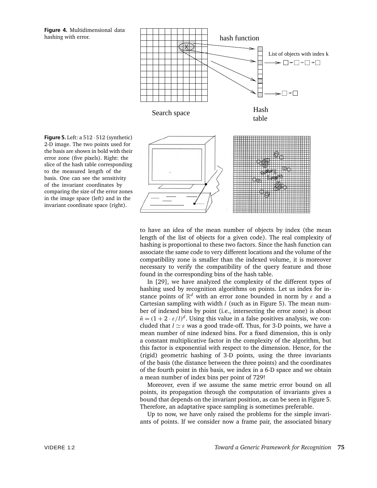**Figure 4.** Multidimensional data hashing with error.



to have an idea of the mean number of objects by index (the mean length of the list of objects for a given code). The real complexity of hashing is proportional to these two factors. Since the hash function can associate the same code to very different locations and the volume of the compatibility zone is smaller than the indexed volume, it is moreover necessary to verify the compatibility of the query feature and those found in the corresponding bins of the hash table.

In [29], we have analyzed the complexity of the different types of hashing used by recognition algorithms on points. Let us index for instance points of R*<sup>d</sup>* with an error zone bounded in norm by *ε* and a Cartesian sampling with width *l* (such as in Figure 5). The mean number of indexed bins by point (i.e., intersecting the error zone) is about  $\bar{n} = (1 + 2 \cdot \varepsilon/l)^d$ . Using this value in a false positives analysis, we concluded that  $l \simeq \varepsilon$  was a good trade-off. Thus, for 3-D points, we have a mean number of nine indexed bins. For a fixed dimension, this is only a constant multiplicative factor in the complexity of the algorithm, but this factor is exponential with respect to the dimension. Hence, for the (rigid) geometric hashing of 3-D points, using the three invariants of the basis (the distance between the three points) and the coordinates of the fourth point in this basis, we index in a 6-D space and we obtain a mean number of index bins per point of 729!

Moreover, even if we assume the same metric error bound on all points, its propagation through the computation of invariants gives a bound that depends on the invariant position, as can be seen in Figure 5. Therefore, an adaptative space sampling is sometimes preferable.

Up to now, we have only raised the problems for the simple invariants of points. If we consider now a frame pair, the associated binary

**Figure 5.** Left: a 512 · 512 (synthetic) 2-D image. The two points used for the basis are shown in bold with their error zone (five pixels). Right: the slice of the hash table corresponding to the measured length of the basis. One can see the sensitivity of the invariant coordinates by comparing the size of the error zones in the image space (left) and in the invariant coordinate space (right).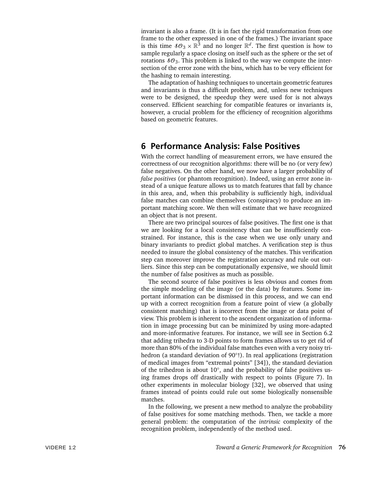invariant is also a frame. (It is in fact the rigid transformation from one frame to the other expressed in one of the frames.) The invariant space is this time  $\delta O_3 \times \mathbb{R}^3$  and no longer  $\mathbb{R}^d$ . The first question is how to sample regularly a space closing on itself such as the sphere or the set of rotations  $8\mathcal{O}_3$ . This problem is linked to the way we compute the intersection of the error zone with the bins, which has to be very efficient for the hashing to remain interesting.

The adaptation of hashing techniques to uncertain geometric features and invariants is thus a difficult problem, and, unless new techniques were to be designed, the speedup they were used for is not always conserved. Efficient searching for compatible features or invariants is, however, a crucial problem for the efficiency of recognition algorithms based on geometric features.

#### **6 Performance Analysis: False Positives**

With the correct handling of measurement errors, we have ensured the correctness of our recognition algorithms: there will be no (or very few) false negatives. On the other hand, we now have a larger probability of *false positives* (or phantom recognition). Indeed, using an error zone instead of a unique feature allows us to match features that fall by chance in this area, and, when this probability is sufficiently high, individual false matches can combine themselves (conspiracy) to produce an important matching score. We then will estimate that we have recognized an object that is not present.

There are two principal sources of false positives. The first one is that we are looking for a local consistency that can be insufficiently constrained. For instance, this is the case when we use only unary and binary invariants to predict global matches. A verification step is thus needed to insure the global consistency of the matches. This verification step can moreover improve the registration accuracy and rule out outliers. Since this step can be computationally expensive, we should limit the number of false positives as much as possible.

The second source of false positives is less obvious and comes from the simple modeling of the image (or the data) by features. Some important information can be dismissed in this process, and we can end up with a correct recognition from a feature point of view (a globally consistent matching) that is incorrect from the image or data point of view. This problem is inherent to the ascendent organization of information in image processing but can be minimized by using more-adapted and more-informative features. For instance, we will see in Section 6.2 that adding trihedra to 3-D points to form frames allows us to get rid of more than 80% of the individual false matches even with a very noisy trihedron (a standard deviation of 90◦!). In real applications (registration of medical images from "extremal points" [34]), the standard deviation of the trihedron is about 10◦, and the probability of false positives using frames drops off drastically with respect to points (Figure 7). In other experiments in molecular biology [32], we observed that using frames instead of points could rule out some biologically nonsensible matches.

In the following, we present a new method to analyze the probability of false positives for some matching methods. Then, we tackle a more general problem: the computation of the *intrinsic* complexity of the recognition problem, independently of the method used.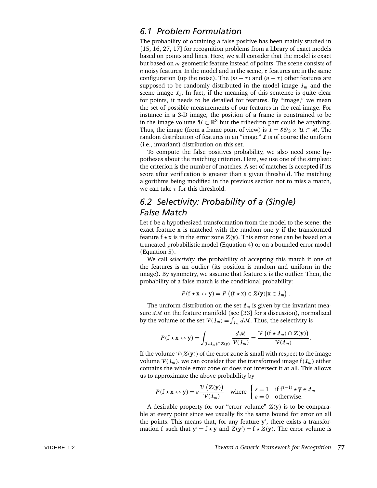#### *6.1 Problem Formulation*

The probability of obtaining a false positive has been mainly studied in [15, 16, 27, 17] for recognition problems from a library of exact models based on points and lines. Here, we still consider that the model is exact but based on *m* geometric feature instead of points. The scene consists of *n* noisy features. In the model and in the scene, *τ* features are in the same configuration (up the noise). The  $(m - \tau)$  and  $(n - \tau)$  other features are supposed to be randomly distributed in the model image  $\mathcal{I}_m$  and the scene image  $I_s$ . In fact, if the meaning of this sentence is quite clear for points, it needs to be detailed for features. By "image," we mean the set of possible measurements of our features in the real image. For instance in a 3-D image, the position of a frame is constrained to be in the image volume  $U \subset \mathbb{R}^3$  but the trihedron part could be anything. Thus, the image (from a frame point of view) is  $\mathbf{I} = \mathbf{SO}_3 \times \mathbf{U} \subset \mathbf{M}$ . The random distribution of features in an "image"  $\ell$  is of course the uniform (i.e., invariant) distribution on this set.

To compute the false positives probability, we also need some hypotheses about the matching criterion. Here, we use one of the simplest: the criterion is the number of matches. A set of matches is accepted if its score after verification is greater than a given threshold. The matching algorithms being modified in the previous section not to miss a match, we can take *τ* for this threshold.

## *6.2 Selectivity: Probability of a (Single) False Match*

Let f be a hypothesized transformation from the model to the scene: the exact feature x is matched with the random one **y** if the transformed feature f  $\star$  x is in the error zone  $Z(y)$ . This error zone can be based on a truncated probabilistic model (Equation 4) or on a bounded error model (Equation 5).

We call *selectivity* the probability of accepting this match if one of the features is an outlier (its position is random and uniform in the image). By symmetry, we assume that feature x is the outlier. Then, the probability of a false match is the conditional probability:

$$
P(\mathbf{f} \star \mathbf{x} \leftrightarrow \mathbf{y}) = P((\mathbf{f} \star \mathbf{x}) \in \mathcal{Z}(\mathbf{y}) | \mathbf{x} \in \mathcal{I}_m).
$$

The uniform distribution on the set  $I_m$  is given by the invariant measure *d*M on the feature manifold (see [33] for a discussion), normalized by the volume of the set  $V(l_m) = \int_{l_m} dM$ . Thus, the selectivity is

$$
P(\mathbf{f} \star \mathbf{x} \leftrightarrow \mathbf{y}) = \int_{(\mathbf{f} \star \mathbf{I}_m) \cap \mathbf{Z}(\mathbf{y})} \frac{d\mathcal{M}}{\mathcal{V}(\mathbf{I}_m)} = \frac{\mathcal{V}\left((\mathbf{f} \star \mathbf{I}_m) \cap \mathbf{Z}(\mathbf{y})\right)}{\mathcal{V}(\mathbf{I}_m)}.
$$

If the volume  $V(Z(y))$  of the error zone is small with respect to the image volume  $V(\mathcal{I}_m)$ , we can consider that the transformed image  $f(\mathcal{I}_m)$  either contains the whole error zone or does not intersect it at all. This allows us to approximate the above probability by

$$
P(\mathbf{f} \star \mathbf{x} \leftrightarrow \mathbf{y}) = \varepsilon \frac{\mathcal{V}\left(\mathcal{Z}(\mathbf{y})\right)}{\mathcal{V}\left(\mathbf{f}_m\right)} \quad \text{where } \begin{cases} \varepsilon = 1 & \text{if } \mathbf{f}^{\left(-1\right)} \star \overline{\mathbf{y}} \in \mathbf{f}_m \\ \varepsilon = 0 & \text{otherwise.} \end{cases}
$$

A desirable property for our "error volume"  $Z(y)$  is to be comparable at every point since we usually fix the same bound for error on all the points. This means that, for any feature  $y'$ , there exists a transformation f such that  $y' = f \star y$  and  $Z(y') = f \star \tilde{Z}(y)$ . The error volume is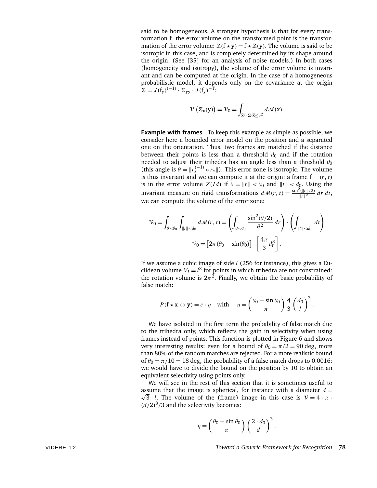said to be homogeneous. A stronger hypothesis is that for every transformation f, the error volume on the transformed point is the transformation of the error volume:  $Z(f \star y) = f \star Z(y)$ . The volume is said to be isotropic in this case, and is completely determined by its shape around the origin. (See [35] for an analysis of noise models.) In both cases (homogeneity and isotropy), the volume of the error volume is invariant and can be computed at the origin. In the case of a homogeneous probabilistic model, it depends only on the covariance at the origin  $\Sigma = J(f_v)^{(-1)} \cdot \Sigma_{vv} \cdot J(f_v)^{-T}$ .

$$
\mathcal{V}\left(\mathcal{Z}_{\nu}(\mathbf{y})\right)=\mathcal{V}_0=\int_{\vec{\mathbf{x}}^{\mathrm{T}}\cdot\Sigma\cdot\vec{\mathbf{x}}\leq \nu^2}d\mathcal{M}(\vec{\mathbf{x}}).
$$

**Example with frames** To keep this example as simple as possible, we consider here a bounded error model on the position and a separated one on the orientation. Thus, two frames are matched if the distance between their points is less than a threshold  $d_0$  and if the rotation needed to adjust their trihedra has an angle less than a threshold  $\theta_0$ (this angle is  $\theta = ||r_x^{(-1)} \circ r_y||$ ). This error zone is isotropic. The volume is thus invariant and we can compute it at the origin: a frame  $f = (r, t)$ is in the error volume  $Z(Id)$  if  $\theta = ||r|| < \theta_0$  and  $||t|| < d_0$ . Using the invariant measure on rigid transformations  $d\mathcal{M}(r, t) = \frac{\sin^2(\|r\|/2)}{\|r\|^2} dr dt$ , we can compute the volume of the error zone:

$$
\mathcal{V}_0 = \int_{\theta < \theta_0} \int_{\|t\| < d_0} d\mathcal{M}(r, t) = \left( \int_{\theta < \theta_0} \frac{\sin^2(\theta/2)}{\theta^2} \, dr \right) \cdot \left( \int_{\|t\| < d_0} \, dt \right)
$$
\n
$$
\mathcal{V}_0 = \left[ 2\pi (\theta_0 - \sin(\theta_0)) \right] \cdot \left[ \frac{4\pi}{3} d_0^3 \right].
$$

If we assume a cubic image of side *l* (256 for instance), this gives a Euclidean volume  $V_I = l^3$  for points in which trihedra are not constrained: the rotation volume is  $2\pi^2$ . Finally, we obtain the basic probability of false match:

$$
P(f \star x \leftrightarrow y) = \varepsilon \cdot \eta
$$
 with  $\eta = \left(\frac{\theta_0 - \sin \theta_0}{\pi}\right) \frac{4}{3} \left(\frac{d_0}{l}\right)^3$ .

We have isolated in the first term the probability of false match due to the trihedra only, which reflects the gain in selectivity when using frames instead of points. This function is plotted in Figure 6 and shows very interesting results: even for a bound of  $\theta_0 = \pi/2 = 90$  deg, more than 80% of the random matches are rejected. For a more realistic bound of  $\theta_0 = \pi/10 = 18$  deg, the probability of a false match drops to 0.0016: we would have to divide the bound on the position by 10 to obtain an equivalent selectivity using points only.

We will see in the rest of this section that it is sometimes useful to assume that the image is spherical, for instance with a diameter  $d =$  $\sqrt{3} \cdot l$ . The volume of the (frame) image in this case is  $V = 4 \cdot \pi$ .  $(d/2)^3/3$  and the selectivity becomes:

$$
\eta = \left(\frac{\theta_0 - \sin \theta_0}{\pi}\right) \left(\frac{2 \cdot d_0}{d}\right)^3.
$$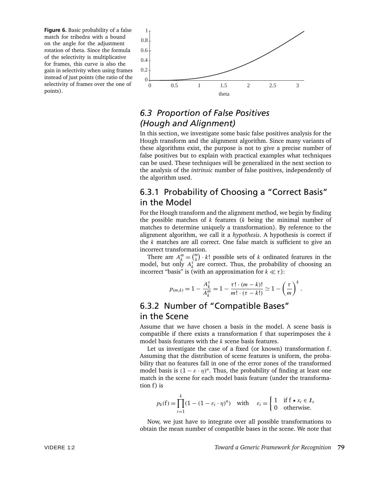**Figure 6.** Basic probability of a false match for trihedra with a bound on the angle for the adjustment rotation of theta. Since the formula of the selectivity is multiplicative for frames, this curve is also the gain in selectivity when using frames instead of just points (the ratio of the selectivity of frames over the one of



## *6.3 Proportion of False Positives (Hough and Alignment)*

In this section, we investigate some basic false positives analysis for the Hough transform and the alignment algorithm. Since many variants of these algorithms exist, the purpose is not to give a precise number of false positives but to explain with practical examples what techniques can be used. These techniques will be generalized in the next section to the analysis of the *intrinsic* number of false positives, independently of the algorithm used.

## 6.3.1 Probability of Choosing a "Correct Basis" in the Model

For the Hough transform and the alignment method, we begin by finding the possible matches of *k* features (*k* being the minimal number of matches to determine uniquely a transformation). By reference to the alignment algorithm, we call it a *hypothesis*. A hypothesis is correct if the *k* matches are all correct. One false match is sufficient to give an incorrect transformation.

There are  $A_k^m = \binom{m}{k} \cdot k!$  possible sets of *k* ordinated features in the model, but only  $A_k^{\tau}$  are correct. Thus, the probability of choosing an incorrect "basis" is (with an approximation for  $k \ll \tau$ ):

$$
p_{(m,k)}=1-\frac{A_k^{\tau}}{A_k^m}=1-\frac{\tau!\cdot(m-k)!}{m!\cdot(\tau-k!)}\simeq 1-\left(\frac{\tau}{m}\right)^k.
$$

## 6.3.2 Number of "Compatible Bases" in the Scene

Assume that we have chosen a basis in the model. A scene basis is compatible if there exists a transformation f that superimposes the *k* model basis features with the *k* scene basis features.

Let us investigate the case of a fixed (or known) transformation f. Assuming that the distribution of scene features is uniform, the probability that no features fall in one of the error zones of the transformed model basis is  $(1 - \varepsilon \cdot \eta)^n$ . Thus, the probability of finding at least one match in the scene for each model basis feature (under the transformation f) is

$$
p_k(f) = \prod_{i=1}^k (1 - (1 - \varepsilon_i \cdot \eta)^n) \quad \text{with} \quad \varepsilon_i = \begin{cases} 1 & \text{if } f \star x_i \in \mathcal{I}_s \\ 0 & \text{otherwise.} \end{cases}
$$

Now, we just have to integrate over all possible transformations to obtain the mean number of compatible bases in the scene. We note that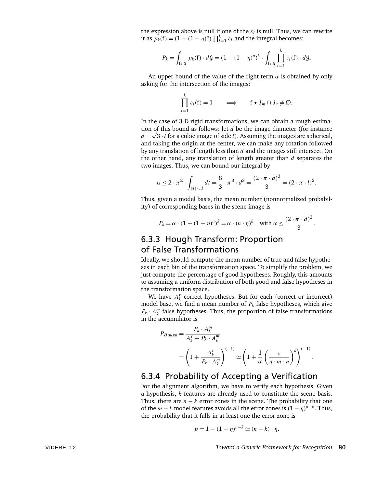the expression above is null if one of the  $\varepsilon_i$  is null. Thus, we can rewrite it as  $p_k(f) = (1 - (1 - \eta)^n) \prod_{i=1}^k \varepsilon_i$  and the integral becomes:

$$
P_k = \int_{f \in \mathcal{G}} p_k(f) \cdot d\mathcal{G} = (1 - (1 - \eta)^n)^k \cdot \int_{f \in \mathcal{G}} \prod_{i=1}^k \varepsilon_i(f) \cdot d\mathcal{G}.
$$

An upper bound of the value of the right term *α* is obtained by only asking for the intersection of the images:

$$
\prod_{i=1}^k \varepsilon_i(f) = 1 \qquad \Longrightarrow \qquad f \star \mathcal{L}_m \cap \mathcal{L}_s \neq \emptyset.
$$

In the case of 3-D rigid transformations, we can obtain a rough estimation of this bound as follows: let *d* be the image diameter (for instance  $d = \sqrt{3} \cdot l$  for a cubic image of side *l*). Assuming the images are spherical, and taking the origin at the center, we can make any rotation followed by any translation of length less than *d* and the images still intersect. On the other hand, any translation of length greater than *d* separates the two images. Thus, we can bound our integral by

$$
\alpha \le 2 \cdot \pi^2 \cdot \int_{\|t\| < d} dt = \frac{8}{3} \cdot \pi^3 \cdot d^3 = \frac{(2 \cdot \pi \cdot d)^3}{3} = (2 \cdot \pi \cdot l)^3.
$$

Thus, given a model basis, the mean number (nonnormalized probability) of corresponding bases in the scene image is

$$
P_k = \alpha \cdot (1 - (1 - \eta)^n)^k = \alpha \cdot (n \cdot \eta)^k \quad \text{with } \alpha \leq \frac{(2 \cdot \pi \cdot d)^3}{3}.
$$

## 6.3.3 Hough Transform: Proportion of False Transformations

Ideally, we should compute the mean number of true and false hypotheses in each bin of the transformation space. To simplify the problem, we just compute the percentage of good hypotheses. Roughly, this amounts to assuming a uniform distribution of both good and false hypotheses in the transformation space.

We have  $A_k^{\tau}$  correct hypotheses. But for each (correct or incorrect) model base, we find a mean number of  $P_k$  false hypotheses, which give  $P_k \cdot A_k^m$  false hypotheses. Thus, the proportion of false transformations in the accumulator is

$$
P_{Hough} = \frac{P_k \cdot A_k^m}{A_k^{\tau} + P_k \cdot A_k^m}
$$
  
=  $\left(1 + \frac{A_k^{\tau}}{P_k \cdot A_k^m}\right)^{(-1)} \simeq \left(1 + \frac{1}{\alpha} \left(\frac{\tau}{\eta \cdot m \cdot n}\right)^k\right)^{(-1)}.$ 

#### 6.3.4 Probability of Accepting a Verification

For the alignment algorithm, we have to verify each hypothesis. Given a hypothesis, *k* features are already used to constitute the scene basis. Thus, there are  $n - k$  error zones in the scene. The probability that one of the  $m - k$  model features avoids all the error zones is  $(1 - \eta)^{n-k}$ . Thus, the probability that it falls in at least one the error zone is

$$
p = 1 - (1 - \eta)^{n-k} \simeq (n - k) \cdot \eta.
$$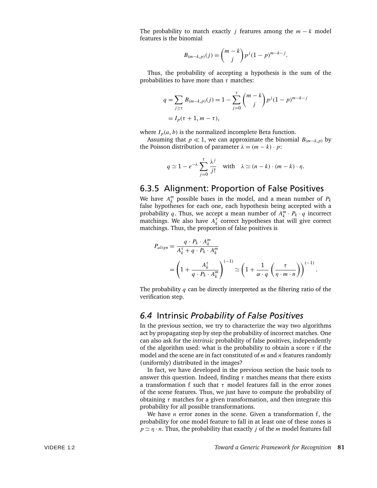The probability to match exactly *j* features among the  $m - k$  model features is the binomial

$$
B_{(m-k,p)}(j) = {m-k \choose j} p^{j} (1-p)^{m-k-j}.
$$

Thus, the probability of accepting a hypothesis is the sum of the probabilities to have more than *τ* matches:

$$
q = \sum_{j \ge \tau} B_{(m-k,p)}(j) = 1 - \sum_{j=0}^{\tau} {m-k \choose j} p^j (1-p)^{m-k-j}
$$
  
=  $I_p(\tau + 1, m - \tau)$ ,

where  $I_p(a, b)$  is the normalized incomplete Beta function.

Assuming that  $p \ll 1$ , we can approximate the binomial  $B_{(m-k,p)}$  by the Poisson distribution of parameter  $\lambda = (m - k) \cdot p$ :

$$
q \simeq 1 - e^{-\lambda} \sum_{j=0}^{\tau} \frac{\lambda^j}{j!} \quad \text{with} \quad \lambda \simeq (n-k) \cdot (m-k) \cdot \eta.
$$

#### 6.3.5 Alignment: Proportion of False Positives

We have  $A_k^m$  possible bases in the model, and a mean number of  $P_k$ false hypotheses for each one, each hypothesis being accepted with a probability *q*. Thus, we accept a mean number of  $A_k^m \cdot P_k \cdot q$  incorrect matchings. We also have  $A_k^{\tau}$  correct hypotheses that will give correct matchings. Thus, the proportion of false positives is

$$
P_{align} = \frac{q \cdot P_k \cdot A_k^m}{A_k^{\tau} + q \cdot P_k \cdot A_k^m}
$$
  
= 
$$
\left(1 + \frac{A_k^{\tau}}{q \cdot P_k \cdot A_k^m}\right)^{(-1)} \simeq \left(1 + \frac{1}{\alpha \cdot q} \left(\frac{\tau}{\eta \cdot m \cdot n}\right)\right)^{(-1)}.
$$

The probability *q* can be directly interpreted as the filtering ratio of the verification step.

#### *6.4* Intrinsic *Probability of False Positives*

In the previous section, we try to characterize the way two algorithms act by propagating step by step the probability of incorrect matches. One can also ask for the *intrinsic* probability of false positives, independently of the algorithm used: what is the probability to obtain a score *τ* if the model and the scene are in fact constituted of *m* and *n* features randomly (uniformly) distributed in the images?

In fact, we have developed in the previous section the basic tools to answer this question. Indeed, finding *τ* matches means that there exists a transformation f such that *τ* model features fall in the error zones of the scene features. Thus, we just have to compute the probability of obtaining *τ* matches for a given transformation, and then integrate this probability for all possible transformations.

We have *n* error zones in the scene. Given a transformation f, the probability for one model feature to fall in at least one of these zones is  $p \simeq \eta \cdot n$ . Thus, the probability that exactly *j* of the *m* model features fall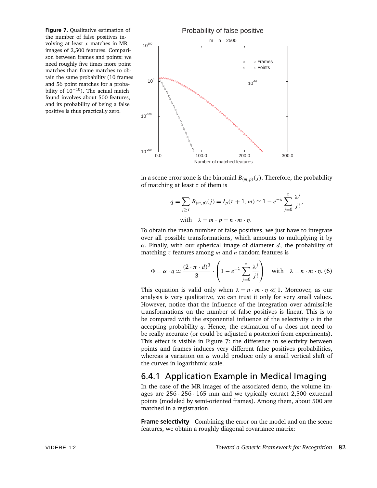**Figure 7.** Qualitative estimation of the number of false positives involving at least *x* matches in MR images of 2,500 features. Comparison between frames and points: we need roughly five times more point matches than frame matches to obtain the same probability (10 frames and 56 point matches for a probability of 10<sup>−</sup>10). The actual match found involves about 500 features, and its probability of being a false positive is thus practically zero.



in a scene error zone is the binomial  $B_{(m,p)}(j)$ . Therefore, the probability of matching at least *τ* of them is

$$
q = \sum_{j \ge \tau} B_{(m,p)}(j) = I_p(\tau + 1, m) \simeq 1 - e^{-\lambda} \sum_{j=0}^{\tau} \frac{\lambda^j}{j!},
$$
  
with  $\lambda = m \cdot p = n \cdot m \cdot \eta$ .

To obtain the mean number of false positives, we just have to integrate over all possible transformations, which amounts to multiplying it by *α*. Finally, with our spherical image of diameter *d*, the probability of matching *τ* features among *m* and *n* random features is

$$
\Phi = \alpha \cdot q \simeq \frac{(2 \cdot \pi \cdot d)^3}{3} \cdot \left(1 - e^{-\lambda} \sum_{j=0}^{\tau} \frac{\lambda^j}{j!} \right) \quad \text{with} \quad \lambda = n \cdot m \cdot \eta. (6)
$$

This equation is valid only when  $\lambda = n \cdot m \cdot \eta \ll 1$ . Moreover, as our analysis is very qualitative, we can trust it only for very small values. However, notice that the influence of the integration over admissible transformations on the number of false positives is linear. This is to be compared with the exponential influence of the selectivity *η* in the accepting probability *q*. Hence, the estimation of  $\alpha$  does not need to be really accurate (or could be adjusted a posteriori from experiments). This effect is visible in Figure 7: the difference in selectivity between points and frames induces very different false positives probabilities, whereas a variation on *α* would produce only a small vertical shift of the curves in logarithmic scale.

## 6.4.1 Application Example in Medical Imaging

In the case of the MR images of the associated demo, the volume images are 256 · 256 · 165 mm and we typically extract 2,500 extremal points (modeled by semi-oriented frames). Among them, about 500 are matched in a registration.

**Frame selectivity** Combining the error on the model and on the scene features, we obtain a roughly diagonal covariance matrix: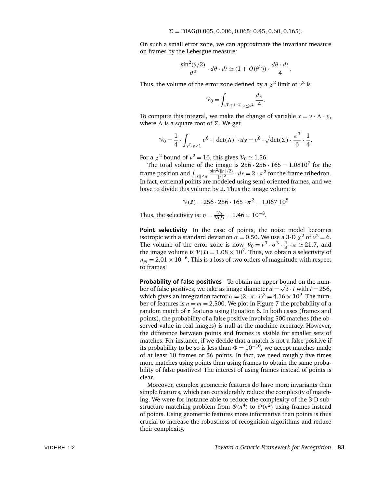On such a small error zone, we can approximate the invariant measure on frames by the Lebesgue measure:

$$
\frac{\sin^2(\theta/2)}{\theta^2} \cdot d\theta \cdot dt \simeq (1 + O(\theta^2)) \cdot \frac{d\theta \cdot dt}{4}.
$$

Thus, the volume of the error zone defined by a  $\chi^2$  limit of  $v^2$  is

$$
\mathcal{V}_0 = \int_{x^{\mathrm{T}} \cdot \Sigma^{(-1)} \cdot x \leq v^2} \frac{dx}{4}.
$$

To compute this integral, we make the change of variable  $x = v \cdot \Lambda \cdot y$ , where  $\Lambda$  is a square root of  $\Sigma$ . We get

$$
\mathcal{V}_0 = \frac{1}{4} \cdot \int_{y^{\mathrm{T}} \cdot y < 1} v^6 \cdot |\ \det(\Lambda)| \cdot dy = v^6 \cdot \sqrt{\det(\Sigma)} \cdot \frac{\pi^3}{6} \cdot \frac{1}{4}.
$$

For a  $\chi^2$  bound of  $v^2 = 16$ , this gives  $V_0 \simeq 1.56$ .

The total volume of the image is  $256 \cdot 256 \cdot 165 = 1.0810^7$  for the frame position and  $\int_{\Vert r \Vert \leq π}$  $\frac{\sin^2(\|r\|/2)}{\|r\|^2} \cdot dr = 2 \cdot \pi^2$  for the frame trihedron. In fact, extremal points are modeled using semi-oriented frames, and we have to divide this volume by 2. Thus the image volume is

$$
\mathcal{V}(\ell) = 256 \cdot 256 \cdot 165 \cdot \pi^2 = 1.067 \; 10^8
$$

Thus, the selectivity is:  $\eta = \frac{v_0}{v(t)} = 1.46 \times 10^{-8}$ .

Point selectivity In the case of points, the noise model becomes isotropic with a standard deviation  $\sigma = 0.50$ . We use a 3-D  $\chi^2$  of  $v^2 = 6$ . The volume of the error zone is now  $V_0 = v^3 \cdot \sigma^3 \cdot \frac{4}{3} \cdot \pi \approx 21.7$ , and the image volume is  $V(1) = 1.08 \times 10^7$ . Thus, we obtain a selectivity of  $\eta_{pt}$  = 2.01 × 10<sup>-6</sup>. This is a loss of two orders of magnitude with respect to frames!

**Probability of false positives** To obtain an upper bound on the number of false positives, we take as image diameter  $d = \sqrt{3} \cdot l$  with  $l = 256$ , which gives an integration factor  $\alpha = (2 \cdot \pi \cdot l)^3 = 4.16 \times 10^9$ . The number of features is  $n = m = 2,500$ . We plot in Figure 7 the probability of a random match of *τ* features using Equation 6. In both cases (frames and points), the probability of a false positive involving 500 matches (the observed value in real images) is null at the machine accuracy. However, the difference between points and frames is visible for smaller sets of matches. For instance, if we decide that a match is not a false positive if its probability to be so is less than  $\Phi = 10^{-10}$ , we accept matches made of at least 10 frames or 56 points. In fact, we need roughly five times more matches using points than using frames to obtain the same probability of false positives! The interest of using frames instead of points is clear.

Moreover, complex geometric features do have more invariants than simple features, which can considerably reduce the complexity of matching. We were for instance able to reduce the complexity of the 3-D substructure matching problem from  $\mathcal{O}(n^4)$  to  $\mathcal{O}(n^2)$  using frames instead of points. Using geometric features more informative than points is thus crucial to increase the robustness of recognition algorithms and reduce their complexity.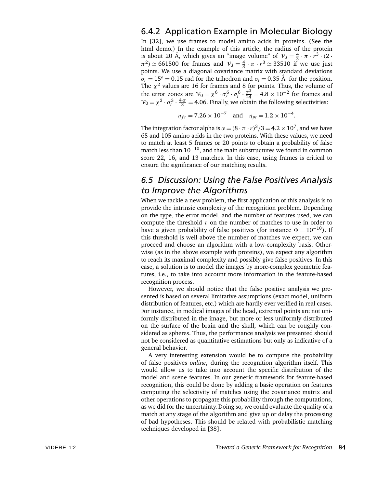### 6.4.2 Application Example in Molecular Biology

In [32], we use frames to model amino acids in proteins. (See the html demo.) In the example of this article, the radius of the protein is about 20 Å, which gives an "image volume" of  $V_1 = \frac{4}{3} \cdot \pi \cdot \overline{r}^3 \cdot (2 \cdot \pi \cdot \overline{r})$  $(\pi^2) \simeq 661500$  for frames and  $V_1 = \frac{4}{3} \cdot \pi \cdot r^3 \simeq 33510$  if we use just points. We use a diagonal covariance matrix with standard deviations  $\sigma_r = 15^\circ = 0.15$  rad for the trihedron and  $\sigma_t = 0.35$  Å for the position. The  $\chi^2$  values are 16 for frames and 8 for points. Thus, the volume of the error zones are  $V_0 = \chi^6 \cdot \sigma_r^6 \cdot \sigma_t^6 \cdot \frac{\pi^3}{24}$  $\frac{\pi^3}{24}$  = 4.8 × 10<sup>-2</sup> for frames and  $V_0 = \chi^3 \cdot \sigma_t^3 \cdot \frac{4\pi}{3} = 4.06$ . Finally, we obtain the following selectivities:

$$
\eta_{fr} = 7.26 \times 10^{-7}
$$
 and  $\eta_{pt} = 1.2 \times 10^{-4}$ .

The integration factor alpha is  $\alpha = (8 \cdot \pi \cdot r)^3/3 = 4.2 \times 10^7,$  and we have 65 and 105 amino acids in the two proteins. With these values, we need to match at least 5 frames or 20 points to obtain a probability of false match less than  $10^{-10}$ , and the main substructures we found in common score 22, 16, and 13 matches. In this case, using frames is critical to ensure the significance of our matching results.

## *6.5 Discussion: Using the False Positives Analysis to Improve the Algorithms*

When we tackle a new problem, the first application of this analysis is to provide the intrinsic complexity of the recognition problem. Depending on the type, the error model, and the number of features used, we can compute the threshold *τ* on the number of matches to use in order to have a given probability of false positives (for instance  $\Phi = 10^{-10}$ ). If this threshold is well above the number of matches we expect, we can proceed and choose an algorithm with a low-complexity basis. Otherwise (as in the above example with proteins), we expect any algorithm to reach its maximal complexity and possibly give false positives. In this case, a solution is to model the images by more-complex geometric features, i.e., to take into account more information in the feature-based recognition process.

However, we should notice that the false positive analysis we presented is based on several limitative assumptions (exact model, uniform distribution of features, etc.) which are hardly ever verified in real cases. For instance, in medical images of the head, extremal points are not uniformly distributed in the image, but more or less uniformly distributed on the surface of the brain and the skull, which can be roughly considered as spheres. Thus, the performance analysis we presented should not be considered as quantitative estimations but only as indicative of a general behavior.

A very interesting extension would be to compute the probability of false positives *online*, during the recognition algorithm itself. This would allow us to take into account the specific distribution of the model and scene features. In our generic framework for feature-based recognition, this could be done by adding a basic operation on features computing the selectivity of matches using the covariance matrix and other operations to propagate this probability through the computations, as we did for the uncertainty. Doing so, we could evaluate the quality of a match at any stage of the algorithm and give up or delay the processing of bad hypotheses. This should be related with probabilistic matching techniques developed in [38].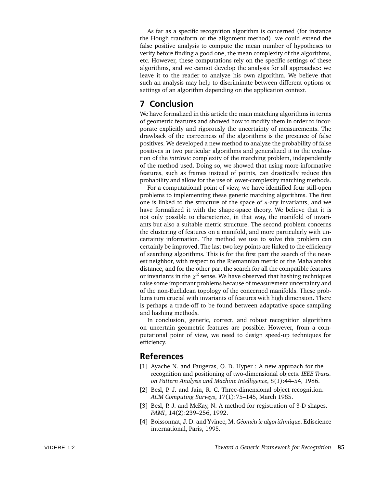As far as a specific recognition algorithm is concerned (for instance the Hough transform or the alignment method), we could extend the false positive analysis to compute the mean number of hypotheses to verify before finding a good one, the mean complexity of the algorithms, etc. However, these computations rely on the specific settings of these algorithms, and we cannot develop the analysis for all approaches: we leave it to the reader to analyze his own algorithm. We believe that such an analysis may help to discriminate between different options or settings of an algorithm depending on the application context.

#### **7 Conclusion**

We have formalized in this article the main matching algorithms in terms of geometric features and showed how to modify them in order to incorporate explicitly and rigorously the uncertainty of measurements. The drawback of the correctness of the algorithms is the presence of false positives. We developed a new method to analyze the probability of false positives in two particular algorithms and generalized it to the evaluation of the *intrinsic* complexity of the matching problem, independently of the method used. Doing so, we showed that using more-informative features, such as frames instead of points, can drastically reduce this probability and allow for the use of lower-complexity matching methods.

For a computational point of view, we have identified four still-open problems to implementing these generic matching algorithms. The first one is linked to the structure of the space of *n*-ary invariants, and we have formalized it with the shape-space theory. We believe that it is not only possible to characterize, in that way, the manifold of invariants but also a suitable metric structure. The second problem concerns the clustering of features on a manifold, and more particularly with uncertainty information. The method we use to solve this problem can certainly be improved. The last two key points are linked to the efficiency of searching algorithms. This is for the first part the search of the nearest neighbor, with respect to the Riemannian metric or the Mahalanobis distance, and for the other part the search for all the compatible features or invariants in the  $\chi^2$  sense. We have observed that hashing techniques raise some important problems because of measurement uncertainty and of the non-Euclidean topology of the concerned manifolds. These problems turn crucial with invariants of features with high dimension. There is perhaps a trade-off to be found between adaptative space sampling and hashing methods.

In conclusion, generic, correct, and robust recognition algorithms on uncertain geometric features are possible. However, from a computational point of view, we need to design speed-up techniques for efficiency.

#### **References**

- [1] Ayache N. and Faugeras, O. D. Hyper : A new approach for the recognition and positioning of two-dimensional objects. *IEEE Trans. on Pattern Analysis and Machine Intelligence*, 8(1):44–54, 1986.
- [2] Besl, P. J. and Jain, R. C. Three-dimensional object recognition. *ACM Computing Surveys*, 17(1):75–145, March 1985.
- [3] Besl, P. J. and McKay, N. A method for registration of 3-D shapes. *PAMI*, 14(2):239–256, 1992.
- [4] Boissonnat, J. D. and Yvinec, M. *Géométrie algorithmique*. Ediscience international, Paris, 1995.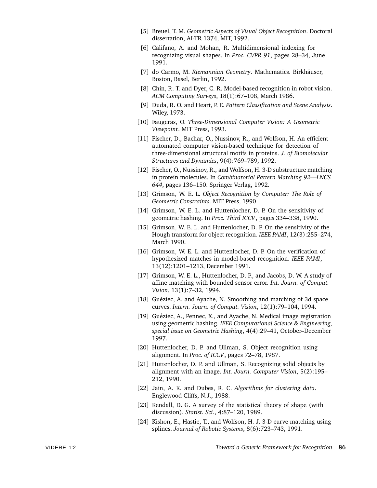- [5] Breuel, T. M. *Geometric Aspects of Visual Object Recognition*. Doctoral dissertation, AI-TR 1374, MIT, 1992.
- [6] Califano, A. and Mohan, R. Multidimensional indexing for recognizing visual shapes. In *Proc. CVPR 91*, pages 28–34, June 1991.
- [7] do Carmo, M. *Riemannian Geometry*. Mathematics. Birkhäuser, Boston, Basel, Berlin, 1992.
- [8] Chin, R. T. and Dyer, C. R. Model-based recognition in robot vision. *ACM Computing Surveys*, 18(1):67–108, March 1986.
- [9] Duda, R. O. and Heart, P. E. *Pattern Classification and Scene Analysis*. Wiley, 1973.
- [10] Faugeras, O. *Three-Dimensional Computer Vision: A Geometric Viewpoint*. MIT Press, 1993.
- [11] Fischer, D., Bachar, O., Nussinov, R., and Wolfson, H. An efficient automated computer vision-based technique for detection of three-dimensional structural motifs in proteins. *J. of Biomolecular Structures and Dynamics*, 9(4):769–789, 1992.
- [12] Fischer, O., Nussinov, R., and Wolfson, H. 3-D substructure matching in protein molecules. In *Combinatorial Pattern Matching 92—LNCS 644*, pages 136–150. Springer Verlag, 1992.
- [13] Grimson, W. E. L. *Object Recognition by Computer: The Role of Geometric Constraints*. MIT Press, 1990.
- [14] Grimson, W. E. L. and Huttenlocher, D. P. On the sensitivity of geometric hashing. In *Proc. Third ICCV*, pages 334–338, 1990.
- [15] Grimson, W. E. L. and Huttenlocher, D. P. On the sensitivity of the Hough transform for object recognition. *IEEE PAMI*, 12(3):255–274, March 1990.
- [16] Grimson, W. E. L. and Huttenlocher, D. P. On the verification of hypothesized matches in model-based recognition. *IEEE PAMI*, 13(12):1201–1213, December 1991.
- [17] Grimson, W. E. L., Huttenlocher, D. P., and Jacobs, D. W. A study of affine matching with bounded sensor error. *Int. Journ. of Comput. Vision*, 13(1):7–32, 1994.
- [18] Guéziec, A. and Ayache, N. Smoothing and matching of 3d space curves. *Intern. Journ. of Comput. Vision*, 12(1):79–104, 1994.
- [19] Guéziec, A., Pennec, X., and Ayache, N. Medical image registration using geometric hashing. *IEEE Computational Science & Engineering, special issue on Geometric Hashing*, 4(4):29–41, October–December 1997.
- [20] Huttenlocher, D. P. and Ullman, S. Object recognition using alignment. In *Proc. of ICCV*, pages 72–78, 1987.
- [21] Huttenlocher, D. P. and Ullman, S. Recognizing solid objects by alignment with an image. *Int. Journ. Computer Vision*, 5(2):195– 212, 1990.
- [22] Jain, A. K. and Dubes, R. C. *Algorithms for clustering data*. Englewood Cliffs, N.J., 1988.
- [23] Kendall, D. G. A survey of the statistical theory of shape (with discussion). *Statist. Sci.*, 4:87–120, 1989.
- [24] Kishon, E., Hastie, T., and Wolfson, H. J. 3-D curve matching using splines. *Journal of Robotic Systems*, 8(6):723–743, 1991.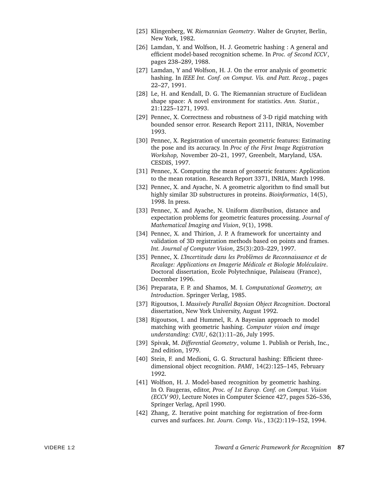- [25] Klingenberg, W. *Riemannian Geometry*. Walter de Gruyter, Berlin, New York, 1982.
- [26] Lamdan, Y. and Wolfson, H. J. Geometric hashing : A general and efficient model-based recognition scheme. In *Proc. of Second ICCV*, pages 238–289, 1988.
- [27] Lamdan, Y and Wolfson, H. J. On the error analysis of geometric hashing. In *IEEE Int. Conf. on Comput. Vis. and Patt. Recog.*, pages 22–27, 1991.
- [28] Le, H. and Kendall, D. G. The Riemannian structure of Euclidean shape space: A novel environment for statistics. *Ann. Statist.*, 21:1225–1271, 1993.
- [29] Pennec, X. Correctness and robustness of 3-D rigid matching with bounded sensor error. Research Report 2111, INRIA, November 1993.
- [30] Pennec, X. Registration of uncertain geometric features: Estimating the pose and its accuracy. In *Proc of the First Image Registration Workshop,* November 20–21, 1997, Greenbelt, Maryland, USA. CESDIS, 1997.
- [31] Pennec, X. Computing the mean of geometric features: Application to the mean rotation. Research Report 3371, INRIA, March 1998.
- [32] Pennec, X. and Ayache, N. A geometric algorithm to find small but highly similar 3D substructures in proteins. *Bioinformatics*, 14(5), 1998. In press.
- [33] Pennec, X. and Ayache, N. Uniform distribution, distance and expectation problems for geometric features processing. *Journal of Mathematical Imaging and Vision*, 9(1), 1998.
- [34] Pennec, X. and Thirion, J. P. A framework for uncertainty and validation of 3D registration methods based on points and frames. *Int. Journal of Computer Vision*, 25(3):203–229, 1997.
- [35] Pennec, X. L'Incertitude dans les Problèmes de Reconnaissance et de *Recalage: Applications en Imagerie M´edicale et Biologie Mol´eculaire*. Doctoral dissertation, Ecole Polytechnique, Palaiseau (France), December 1996.
- [36] Preparata, F. P. and Shamos, M. I. *Computational Geometry, an Introduction*. Springer Verlag, 1985.
- [37] Rigoutsos, I. *Massively Parallel Baysian Object Recognition*. Doctoral dissertation, New York University, August 1992.
- [38] Rigoutsos, I. and Hummel, R. A Bayesian approach to model matching with geometric hashing. *Computer vision and image understanding: CVIU*, 62(1):11–26, July 1995.
- [39] Spivak, M. *Differential Geometry*, volume 1. Publish or Perish, Inc., 2nd edition, 1979.
- [40] Stein, F. and Medioni, G. G. Structural hashing: Efficient threedimensional object recognition. *PAMI*, 14(2):125–145, February 1992.
- [41] Wolfson, H. J. Model-based recognition by geometric hashing. In O. Faugeras, editor, *Proc. of 1st Europ. Conf. on Comput. Vision (ECCV 90)*, Lecture Notes in Computer Science 427, pages 526–536, Springer Verlag, April 1990.
- [42] Zhang, Z. Iterative point matching for registration of free-form curves and surfaces. *Int. Journ. Comp. Vis.*, 13(2):119–152, 1994.